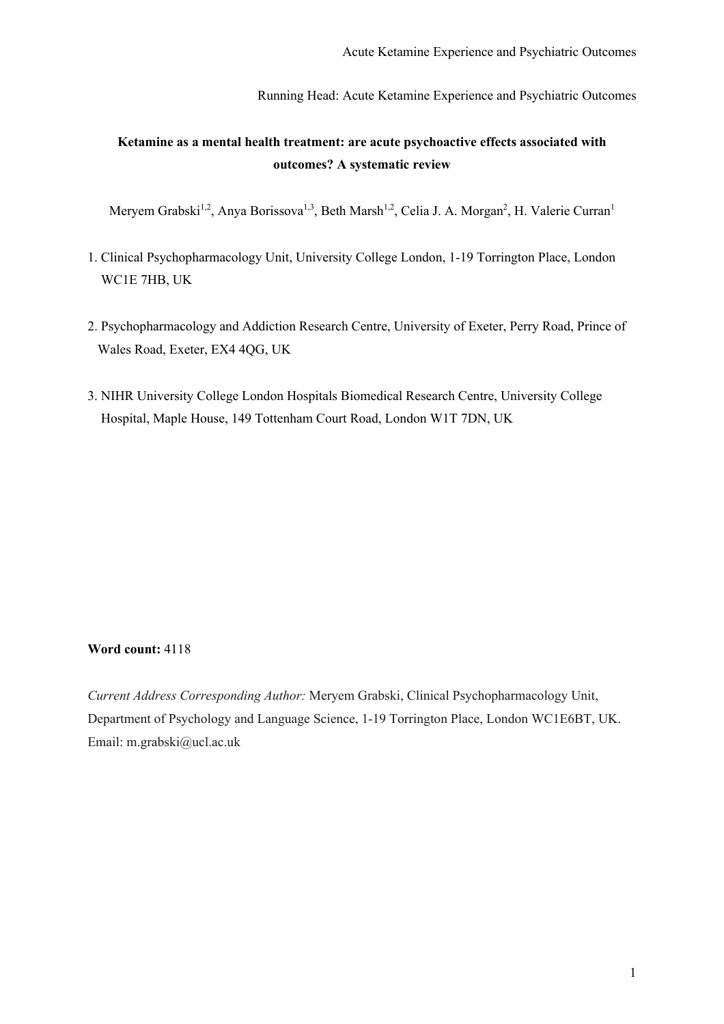Running Head: Acute Ketamine Experience and Psychiatric Outcomes

# **Ketamine as a mental health treatment: are acute psychoactive effects associated with outcomes? A systematic review**

Meryem Grabski<sup>1,2</sup>, Anya Borissova<sup>1,3</sup>, Beth Marsh<sup>1,2</sup>, Celia J. A. Morgan<sup>2</sup>, H. Valerie Curran<sup>1</sup>

- 1. Clinical Psychopharmacology Unit, University College London, 1-19 Torrington Place, London WC1E 7HB, UK
- 2. Psychopharmacology and Addiction Research Centre, University of Exeter, Perry Road, Prince of Wales Road, Exeter, EX4 4QG, UK
- 3. NIHR University College London Hospitals Biomedical Research Centre, University College Hospital, Maple House, 149 Tottenham Court Road, London W1T 7DN, UK

### **Word count:** 4118

*Current Address Corresponding Author:* Meryem Grabski, Clinical Psychopharmacology Unit, Department of Psychology and Language Science, 1-19 Torrington Place, London WC1E6BT, UK. Email: m.grabski@ucl.ac.uk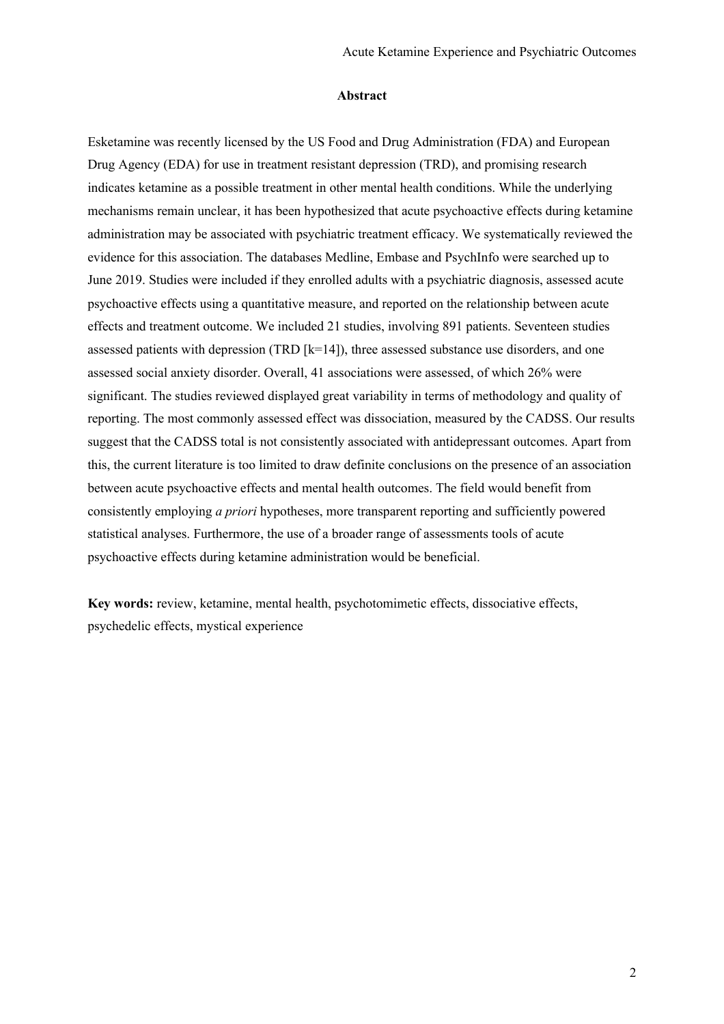#### **Abstract**

Esketamine was recently licensed by the US Food and Drug Administration (FDA) and European Drug Agency (EDA) for use in treatment resistant depression (TRD), and promising research indicates ketamine as a possible treatment in other mental health conditions. While the underlying mechanisms remain unclear, it has been hypothesized that acute psychoactive effects during ketamine administration may be associated with psychiatric treatment efficacy. We systematically reviewed the evidence for this association. The databases Medline, Embase and PsychInfo were searched up to June 2019. Studies were included if they enrolled adults with a psychiatric diagnosis, assessed acute psychoactive effects using a quantitative measure, and reported on the relationship between acute effects and treatment outcome. We included 21 studies, involving 891 patients. Seventeen studies assessed patients with depression (TRD [k=14]), three assessed substance use disorders, and one assessed social anxiety disorder. Overall, 41 associations were assessed, of which 26% were significant. The studies reviewed displayed great variability in terms of methodology and quality of reporting. The most commonly assessed effect was dissociation, measured by the CADSS. Our results suggest that the CADSS total is not consistently associated with antidepressant outcomes. Apart from this, the current literature is too limited to draw definite conclusions on the presence of an association between acute psychoactive effects and mental health outcomes. The field would benefit from consistently employing *a priori* hypotheses, more transparent reporting and sufficiently powered statistical analyses. Furthermore, the use of a broader range of assessments tools of acute psychoactive effects during ketamine administration would be beneficial.

**Key words:** review, ketamine, mental health, psychotomimetic effects, dissociative effects, psychedelic effects, mystical experience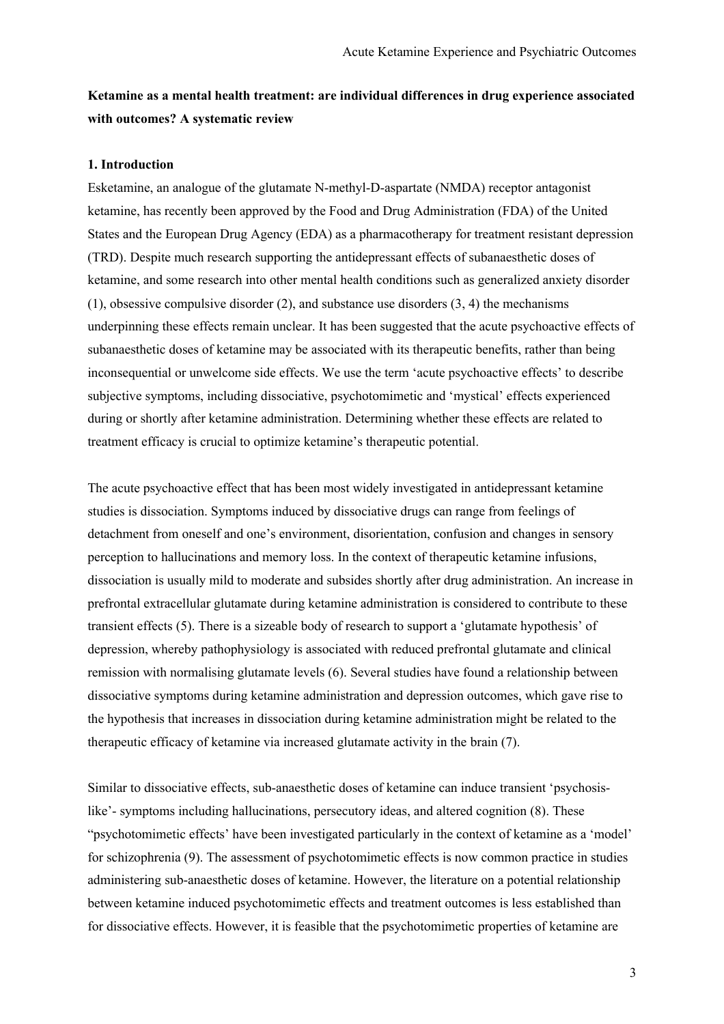# **Ketamine as a mental health treatment: are individual differences in drug experience associated with outcomes? A systematic review**

#### **1. Introduction**

Esketamine, an analogue of the glutamate N-methyl-D-aspartate (NMDA) receptor antagonist ketamine, has recently been approved by the Food and Drug Administration (FDA) of the United States and the European Drug Agency (EDA) as a pharmacotherapy for treatment resistant depression (TRD). Despite much research supporting the antidepressant effects of subanaesthetic doses of ketamine, and some research into other mental health conditions such as generalized anxiety disorder  $(1)$ , obsessive compulsive disorder  $(2)$ , and substance use disorders  $(3, 4)$  the mechanisms underpinning these effects remain unclear. It has been suggested that the acute psychoactive effects of subanaesthetic doses of ketamine may be associated with its therapeutic benefits, rather than being inconsequential or unwelcome side effects. We use the term 'acute psychoactive effects' to describe subjective symptoms, including dissociative, psychotomimetic and 'mystical' effects experienced during or shortly after ketamine administration. Determining whether these effects are related to treatment efficacy is crucial to optimize ketamine's therapeutic potential.

The acute psychoactive effect that has been most widely investigated in antidepressant ketamine studies is dissociation. Symptoms induced by dissociative drugs can range from feelings of detachment from oneself and one's environment, disorientation, confusion and changes in sensory perception to hallucinations and memory loss. In the context of therapeutic ketamine infusions, dissociation is usually mild to moderate and subsides shortly after drug administration. An increase in prefrontal extracellular glutamate during ketamine administration is considered to contribute to these transient effects (5). There is a sizeable body of research to support a 'glutamate hypothesis' of depression, whereby pathophysiology is associated with reduced prefrontal glutamate and clinical remission with normalising glutamate levels (6). Several studies have found a relationship between dissociative symptoms during ketamine administration and depression outcomes, which gave rise to the hypothesis that increases in dissociation during ketamine administration might be related to the therapeutic efficacy of ketamine via increased glutamate activity in the brain (7).

Similar to dissociative effects, sub-anaesthetic doses of ketamine can induce transient 'psychosislike'- symptoms including hallucinations, persecutory ideas, and altered cognition (8). These "psychotomimetic effects' have been investigated particularly in the context of ketamine as a 'model' for schizophrenia (9). The assessment of psychotomimetic effects is now common practice in studies administering sub-anaesthetic doses of ketamine. However, the literature on a potential relationship between ketamine induced psychotomimetic effects and treatment outcomes is less established than for dissociative effects. However, it is feasible that the psychotomimetic properties of ketamine are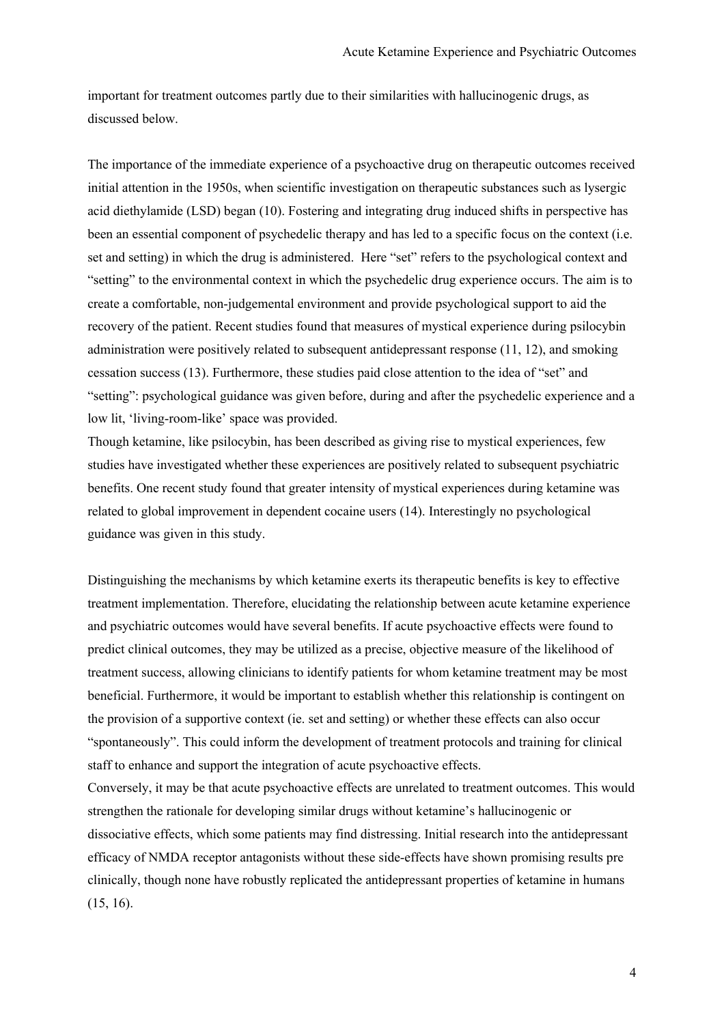important for treatment outcomes partly due to their similarities with hallucinogenic drugs, as discussed below.

The importance of the immediate experience of a psychoactive drug on therapeutic outcomes received initial attention in the 1950s, when scientific investigation on therapeutic substances such as lysergic acid diethylamide (LSD) began (10). Fostering and integrating drug induced shifts in perspective has been an essential component of psychedelic therapy and has led to a specific focus on the context (i.e. set and setting) in which the drug is administered. Here "set" refers to the psychological context and "setting" to the environmental context in which the psychedelic drug experience occurs. The aim is to create a comfortable, non-judgemental environment and provide psychological support to aid the recovery of the patient. Recent studies found that measures of mystical experience during psilocybin administration were positively related to subsequent antidepressant response (11, 12), and smoking cessation success (13). Furthermore, these studies paid close attention to the idea of "set" and "setting": psychological guidance was given before, during and after the psychedelic experience and a low lit, 'living-room-like' space was provided.

Though ketamine, like psilocybin, has been described as giving rise to mystical experiences, few studies have investigated whether these experiences are positively related to subsequent psychiatric benefits. One recent study found that greater intensity of mystical experiences during ketamine was related to global improvement in dependent cocaine users (14). Interestingly no psychological guidance was given in this study.

Distinguishing the mechanisms by which ketamine exerts its therapeutic benefits is key to effective treatment implementation. Therefore, elucidating the relationship between acute ketamine experience and psychiatric outcomes would have several benefits. If acute psychoactive effects were found to predict clinical outcomes, they may be utilized as a precise, objective measure of the likelihood of treatment success, allowing clinicians to identify patients for whom ketamine treatment may be most beneficial. Furthermore, it would be important to establish whether this relationship is contingent on the provision of a supportive context (ie. set and setting) or whether these effects can also occur "spontaneously". This could inform the development of treatment protocols and training for clinical staff to enhance and support the integration of acute psychoactive effects.

Conversely, it may be that acute psychoactive effects are unrelated to treatment outcomes. This would strengthen the rationale for developing similar drugs without ketamine's hallucinogenic or dissociative effects, which some patients may find distressing. Initial research into the antidepressant efficacy of NMDA receptor antagonists without these side-effects have shown promising results pre clinically, though none have robustly replicated the antidepressant properties of ketamine in humans (15, 16).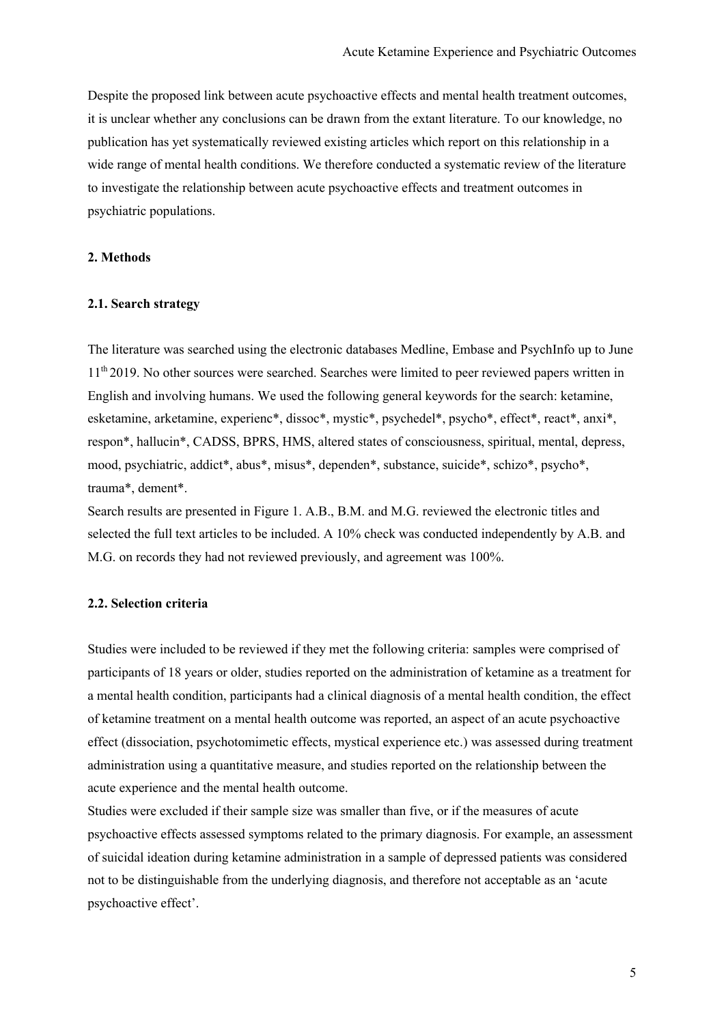Despite the proposed link between acute psychoactive effects and mental health treatment outcomes, it is unclear whether any conclusions can be drawn from the extant literature. To our knowledge, no publication has yet systematically reviewed existing articles which report on this relationship in a wide range of mental health conditions. We therefore conducted a systematic review of the literature to investigate the relationship between acute psychoactive effects and treatment outcomes in psychiatric populations.

# **2. Methods**

# **2.1. Search strategy**

The literature was searched using the electronic databases Medline, Embase and PsychInfo up to June 11<sup>th</sup> 2019. No other sources were searched. Searches were limited to peer reviewed papers written in English and involving humans. We used the following general keywords for the search: ketamine, esketamine, arketamine, experienc\*, dissoc\*, mystic\*, psychedel\*, psycho\*, effect\*, react\*, anxi\*, respon\*, hallucin\*, CADSS, BPRS, HMS, altered states of consciousness, spiritual, mental, depress, mood, psychiatric, addict\*, abus\*, misus\*, dependen\*, substance, suicide\*, schizo\*, psycho\*, trauma\*, dement\*.

Search results are presented in Figure 1. A.B., B.M. and M.G. reviewed the electronic titles and selected the full text articles to be included. A 10% check was conducted independently by A.B. and M.G. on records they had not reviewed previously, and agreement was 100%.

### **2.2. Selection criteria**

Studies were included to be reviewed if they met the following criteria: samples were comprised of participants of 18 years or older, studies reported on the administration of ketamine as a treatment for a mental health condition, participants had a clinical diagnosis of a mental health condition, the effect of ketamine treatment on a mental health outcome was reported, an aspect of an acute psychoactive effect (dissociation, psychotomimetic effects, mystical experience etc.) was assessed during treatment administration using a quantitative measure, and studies reported on the relationship between the acute experience and the mental health outcome.

Studies were excluded if their sample size was smaller than five, or if the measures of acute psychoactive effects assessed symptoms related to the primary diagnosis. For example, an assessment of suicidal ideation during ketamine administration in a sample of depressed patients was considered not to be distinguishable from the underlying diagnosis, and therefore not acceptable as an 'acute psychoactive effect'.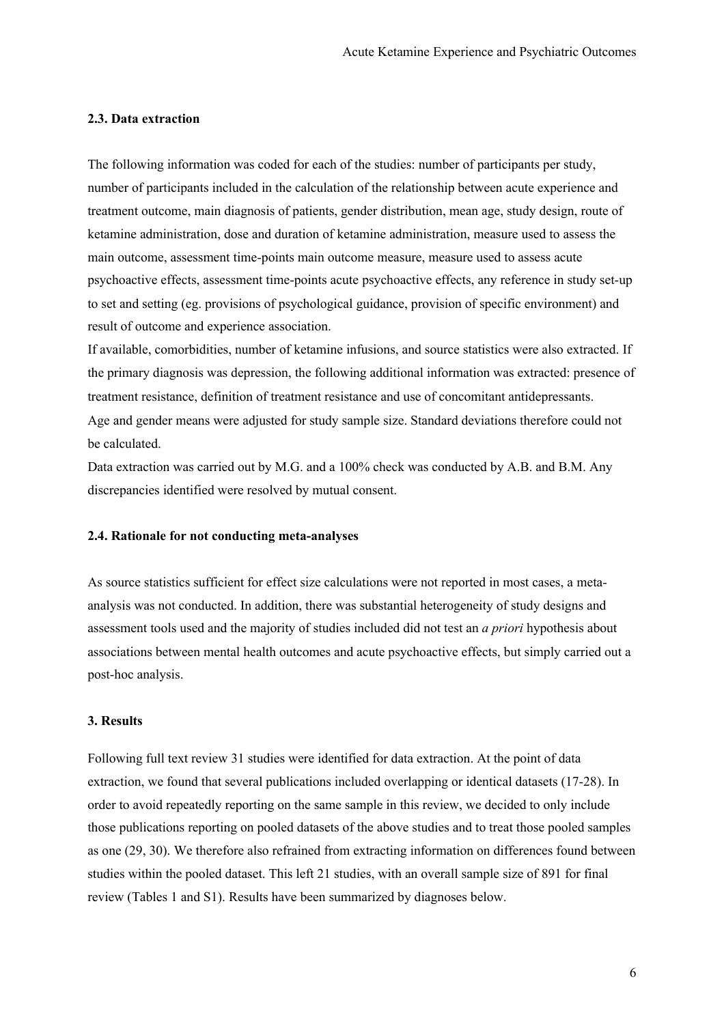### **2.3. Data extraction**

The following information was coded for each of the studies: number of participants per study, number of participants included in the calculation of the relationship between acute experience and treatment outcome, main diagnosis of patients, gender distribution, mean age, study design, route of ketamine administration, dose and duration of ketamine administration, measure used to assess the main outcome, assessment time-points main outcome measure, measure used to assess acute psychoactive effects, assessment time-points acute psychoactive effects, any reference in study set-up to set and setting (eg. provisions of psychological guidance, provision of specific environment) and result of outcome and experience association.

If available, comorbidities, number of ketamine infusions, and source statistics were also extracted. If the primary diagnosis was depression, the following additional information was extracted: presence of treatment resistance, definition of treatment resistance and use of concomitant antidepressants. Age and gender means were adjusted for study sample size. Standard deviations therefore could not be calculated.

Data extraction was carried out by M.G. and a 100% check was conducted by A.B. and B.M. Any discrepancies identified were resolved by mutual consent.

#### **2.4. Rationale for not conducting meta-analyses**

As source statistics sufficient for effect size calculations were not reported in most cases, a metaanalysis was not conducted. In addition, there was substantial heterogeneity of study designs and assessment tools used and the majority of studies included did not test an *a priori* hypothesis about associations between mental health outcomes and acute psychoactive effects, but simply carried out a post-hoc analysis.

#### **3. Results**

Following full text review 31 studies were identified for data extraction. At the point of data extraction, we found that several publications included overlapping or identical datasets (17-28). In order to avoid repeatedly reporting on the same sample in this review, we decided to only include those publications reporting on pooled datasets of the above studies and to treat those pooled samples as one (29, 30). We therefore also refrained from extracting information on differences found between studies within the pooled dataset. This left 21 studies, with an overall sample size of 891 for final review (Tables 1 and S1). Results have been summarized by diagnoses below.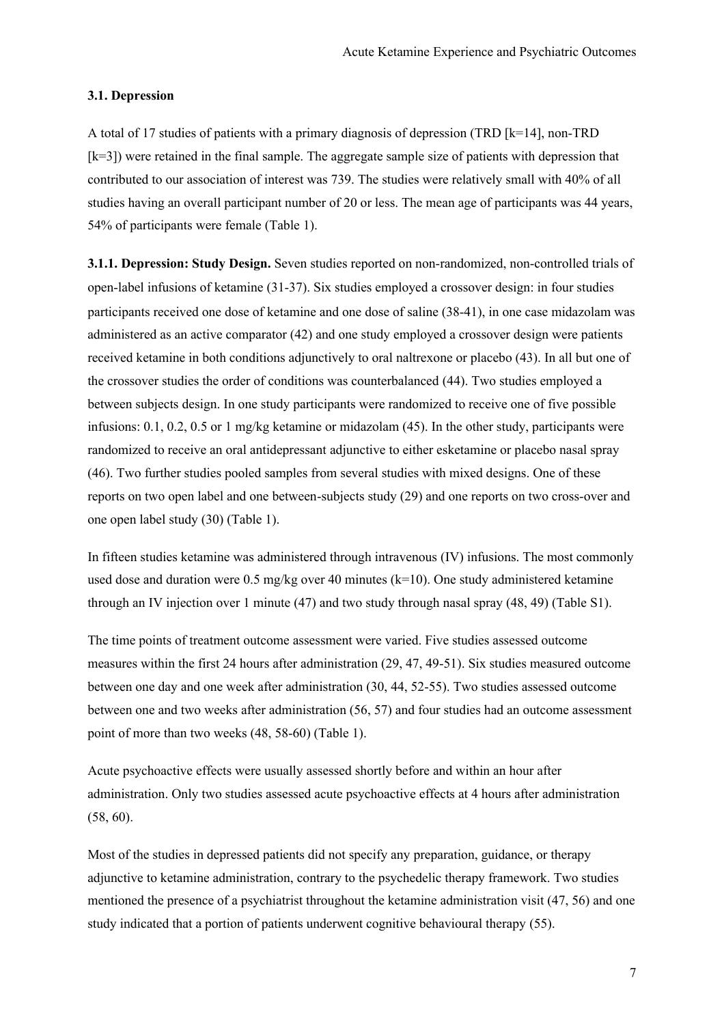#### **3.1. Depression**

A total of 17 studies of patients with a primary diagnosis of depression (TRD [k=14], non-TRD [k=3]) were retained in the final sample. The aggregate sample size of patients with depression that contributed to our association of interest was 739. The studies were relatively small with 40% of all studies having an overall participant number of 20 or less. The mean age of participants was 44 years, 54% of participants were female (Table 1).

**3.1.1. Depression: Study Design.** Seven studies reported on non-randomized, non-controlled trials of open-label infusions of ketamine (31-37). Six studies employed a crossover design: in four studies participants received one dose of ketamine and one dose of saline (38-41), in one case midazolam was administered as an active comparator (42) and one study employed a crossover design were patients received ketamine in both conditions adjunctively to oral naltrexone or placebo (43). In all but one of the crossover studies the order of conditions was counterbalanced (44). Two studies employed a between subjects design. In one study participants were randomized to receive one of five possible infusions: 0.1, 0.2, 0.5 or 1 mg/kg ketamine or midazolam (45). In the other study, participants were randomized to receive an oral antidepressant adjunctive to either esketamine or placebo nasal spray (46). Two further studies pooled samples from several studies with mixed designs. One of these reports on two open label and one between-subjects study (29) and one reports on two cross-over and one open label study (30) (Table 1).

In fifteen studies ketamine was administered through intravenous (IV) infusions. The most commonly used dose and duration were  $0.5 \text{ mg/kg}$  over 40 minutes (k=10). One study administered ketamine through an IV injection over 1 minute (47) and two study through nasal spray (48, 49) (Table S1).

The time points of treatment outcome assessment were varied. Five studies assessed outcome measures within the first 24 hours after administration (29, 47, 49-51). Six studies measured outcome between one day and one week after administration (30, 44, 52-55). Two studies assessed outcome between one and two weeks after administration (56, 57) and four studies had an outcome assessment point of more than two weeks (48, 58-60) (Table 1).

Acute psychoactive effects were usually assessed shortly before and within an hour after administration. Only two studies assessed acute psychoactive effects at 4 hours after administration (58, 60).

Most of the studies in depressed patients did not specify any preparation, guidance, or therapy adjunctive to ketamine administration, contrary to the psychedelic therapy framework. Two studies mentioned the presence of a psychiatrist throughout the ketamine administration visit (47, 56) and one study indicated that a portion of patients underwent cognitive behavioural therapy (55).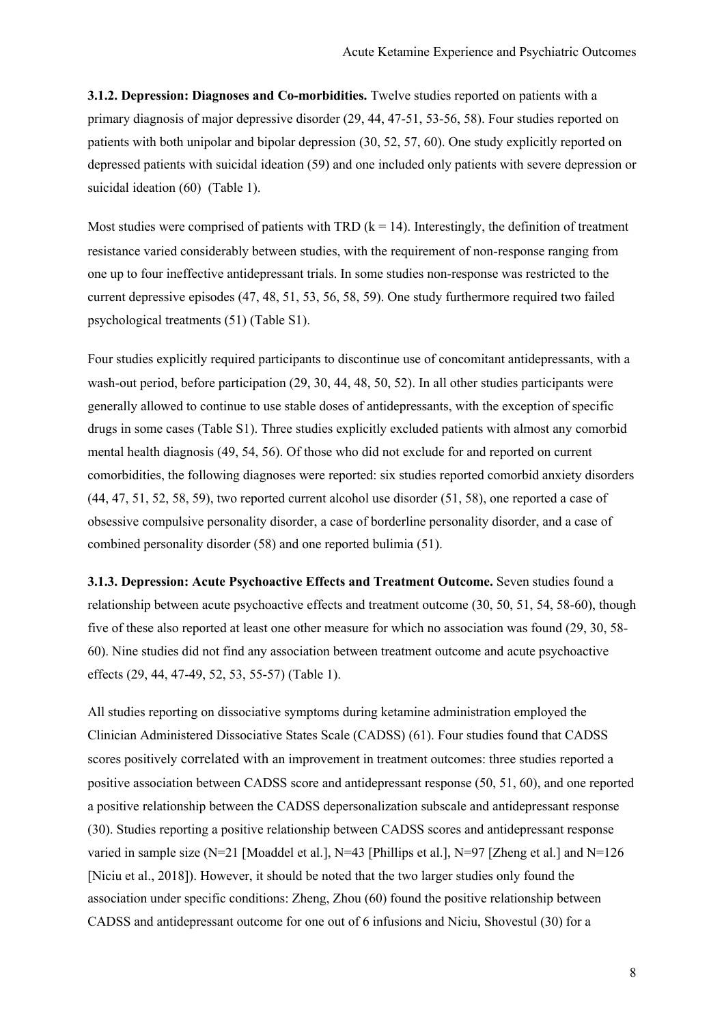**3.1.2. Depression: Diagnoses and Co-morbidities.** Twelve studies reported on patients with a primary diagnosis of major depressive disorder (29, 44, 47-51, 53-56, 58). Four studies reported on patients with both unipolar and bipolar depression (30, 52, 57, 60). One study explicitly reported on depressed patients with suicidal ideation (59) and one included only patients with severe depression or suicidal ideation (60) (Table 1).

Most studies were comprised of patients with TRD  $(k = 14)$ . Interestingly, the definition of treatment resistance varied considerably between studies, with the requirement of non-response ranging from one up to four ineffective antidepressant trials. In some studies non-response was restricted to the current depressive episodes (47, 48, 51, 53, 56, 58, 59). One study furthermore required two failed psychological treatments (51) (Table S1).

Four studies explicitly required participants to discontinue use of concomitant antidepressants, with a wash-out period, before participation (29, 30, 44, 48, 50, 52). In all other studies participants were generally allowed to continue to use stable doses of antidepressants, with the exception of specific drugs in some cases (Table S1). Three studies explicitly excluded patients with almost any comorbid mental health diagnosis (49, 54, 56). Of those who did not exclude for and reported on current comorbidities, the following diagnoses were reported: six studies reported comorbid anxiety disorders (44, 47, 51, 52, 58, 59), two reported current alcohol use disorder (51, 58), one reported a case of obsessive compulsive personality disorder, a case of borderline personality disorder, and a case of combined personality disorder (58) and one reported bulimia (51).

**3.1.3. Depression: Acute Psychoactive Effects and Treatment Outcome.** Seven studies found a relationship between acute psychoactive effects and treatment outcome (30, 50, 51, 54, 58-60), though five of these also reported at least one other measure for which no association was found (29, 30, 58- 60). Nine studies did not find any association between treatment outcome and acute psychoactive effects (29, 44, 47-49, 52, 53, 55-57) (Table 1).

All studies reporting on dissociative symptoms during ketamine administration employed the Clinician Administered Dissociative States Scale (CADSS) (61). Four studies found that CADSS scores positively correlated with an improvement in treatment outcomes: three studies reported a positive association between CADSS score and antidepressant response (50, 51, 60), and one reported a positive relationship between the CADSS depersonalization subscale and antidepressant response (30). Studies reporting a positive relationship between CADSS scores and antidepressant response varied in sample size  $(N=21 \text{ [Moddel et al.], N=43 [Philips et al.], N=97 [Zheng et al.] and N=126]$ [Niciu et al., 2018]). However, it should be noted that the two larger studies only found the association under specific conditions: Zheng, Zhou (60) found the positive relationship between CADSS and antidepressant outcome for one out of 6 infusions and Niciu, Shovestul (30) for a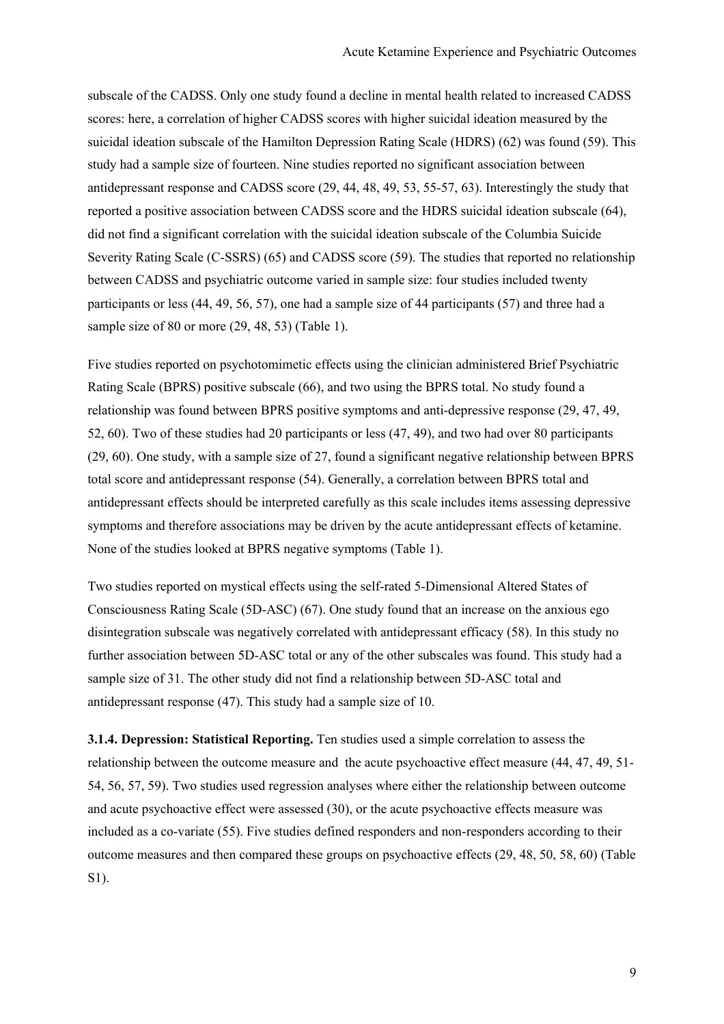subscale of the CADSS. Only one study found a decline in mental health related to increased CADSS scores: here, a correlation of higher CADSS scores with higher suicidal ideation measured by the suicidal ideation subscale of the Hamilton Depression Rating Scale (HDRS) (62) was found (59). This study had a sample size of fourteen. Nine studies reported no significant association between antidepressant response and CADSS score (29, 44, 48, 49, 53, 55-57, 63). Interestingly the study that reported a positive association between CADSS score and the HDRS suicidal ideation subscale (64), did not find a significant correlation with the suicidal ideation subscale of the Columbia Suicide Severity Rating Scale (C-SSRS) (65) and CADSS score (59). The studies that reported no relationship between CADSS and psychiatric outcome varied in sample size: four studies included twenty participants or less (44, 49, 56, 57), one had a sample size of 44 participants (57) and three had a sample size of 80 or more (29, 48, 53) (Table 1).

Five studies reported on psychotomimetic effects using the clinician administered Brief Psychiatric Rating Scale (BPRS) positive subscale (66), and two using the BPRS total. No study found a relationship was found between BPRS positive symptoms and anti-depressive response (29, 47, 49, 52, 60). Two of these studies had 20 participants or less (47, 49), and two had over 80 participants (29, 60). One study, with a sample size of 27, found a significant negative relationship between BPRS total score and antidepressant response (54). Generally, a correlation between BPRS total and antidepressant effects should be interpreted carefully as this scale includes items assessing depressive symptoms and therefore associations may be driven by the acute antidepressant effects of ketamine. None of the studies looked at BPRS negative symptoms (Table 1).

Two studies reported on mystical effects using the self-rated 5-Dimensional Altered States of Consciousness Rating Scale (5D-ASC) (67). One study found that an increase on the anxious ego disintegration subscale was negatively correlated with antidepressant efficacy (58). In this study no further association between 5D-ASC total or any of the other subscales was found. This study had a sample size of 31. The other study did not find a relationship between 5D-ASC total and antidepressant response (47). This study had a sample size of 10.

**3.1.4. Depression: Statistical Reporting.** Ten studies used a simple correlation to assess the relationship between the outcome measure and the acute psychoactive effect measure (44, 47, 49, 51- 54, 56, 57, 59). Two studies used regression analyses where either the relationship between outcome and acute psychoactive effect were assessed (30), or the acute psychoactive effects measure was included as a co-variate (55). Five studies defined responders and non-responders according to their outcome measures and then compared these groups on psychoactive effects (29, 48, 50, 58, 60) (Table S1).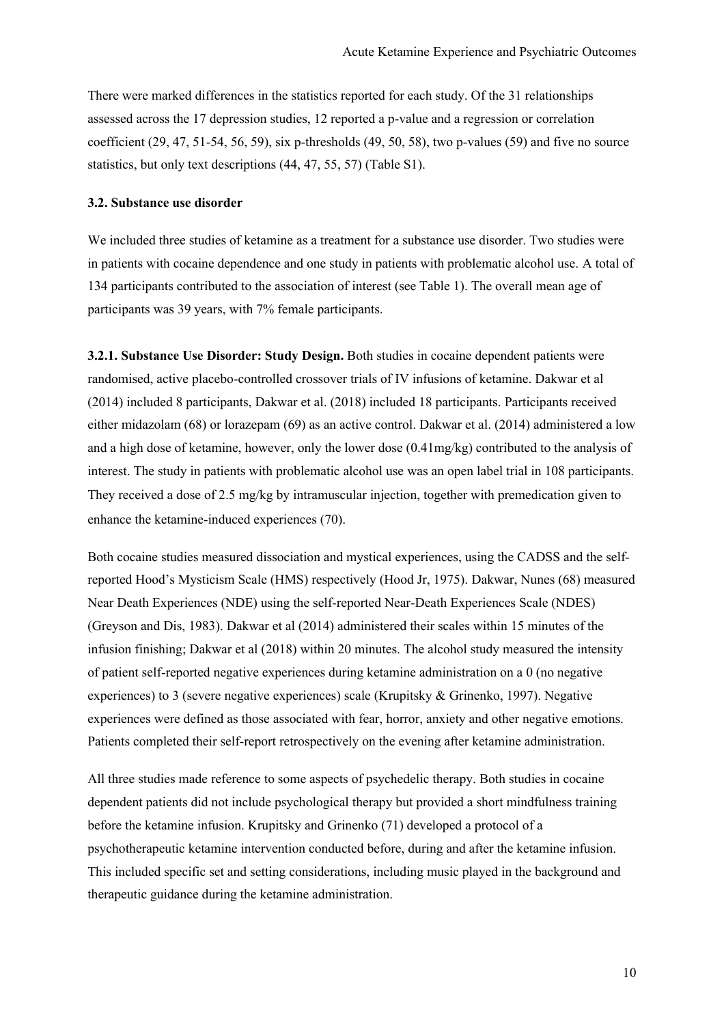There were marked differences in the statistics reported for each study. Of the 31 relationships assessed across the 17 depression studies, 12 reported a p-value and a regression or correlation coefficient (29, 47, 51-54, 56, 59), six p-thresholds (49, 50, 58), two p-values (59) and five no source statistics, but only text descriptions (44, 47, 55, 57) (Table S1).

#### **3.2. Substance use disorder**

We included three studies of ketamine as a treatment for a substance use disorder. Two studies were in patients with cocaine dependence and one study in patients with problematic alcohol use. A total of 134 participants contributed to the association of interest (see Table 1). The overall mean age of participants was 39 years, with 7% female participants.

**3.2.1. Substance Use Disorder: Study Design.** Both studies in cocaine dependent patients were randomised, active placebo-controlled crossover trials of IV infusions of ketamine. Dakwar et al (2014) included 8 participants, Dakwar et al. (2018) included 18 participants. Participants received either midazolam (68) or lorazepam (69) as an active control. Dakwar et al. (2014) administered a low and a high dose of ketamine, however, only the lower dose (0.41mg/kg) contributed to the analysis of interest. The study in patients with problematic alcohol use was an open label trial in 108 participants. They received a dose of 2.5 mg/kg by intramuscular injection, together with premedication given to enhance the ketamine-induced experiences (70).

Both cocaine studies measured dissociation and mystical experiences, using the CADSS and the selfreported Hood's Mysticism Scale (HMS) respectively (Hood Jr, 1975). Dakwar, Nunes (68) measured Near Death Experiences (NDE) using the self-reported Near-Death Experiences Scale (NDES) (Greyson and Dis, 1983). Dakwar et al (2014) administered their scales within 15 minutes of the infusion finishing; Dakwar et al (2018) within 20 minutes. The alcohol study measured the intensity of patient self-reported negative experiences during ketamine administration on a 0 (no negative experiences) to 3 (severe negative experiences) scale (Krupitsky & Grinenko, 1997). Negative experiences were defined as those associated with fear, horror, anxiety and other negative emotions. Patients completed their self-report retrospectively on the evening after ketamine administration.

All three studies made reference to some aspects of psychedelic therapy. Both studies in cocaine dependent patients did not include psychological therapy but provided a short mindfulness training before the ketamine infusion. Krupitsky and Grinenko (71) developed a protocol of a psychotherapeutic ketamine intervention conducted before, during and after the ketamine infusion. This included specific set and setting considerations, including music played in the background and therapeutic guidance during the ketamine administration.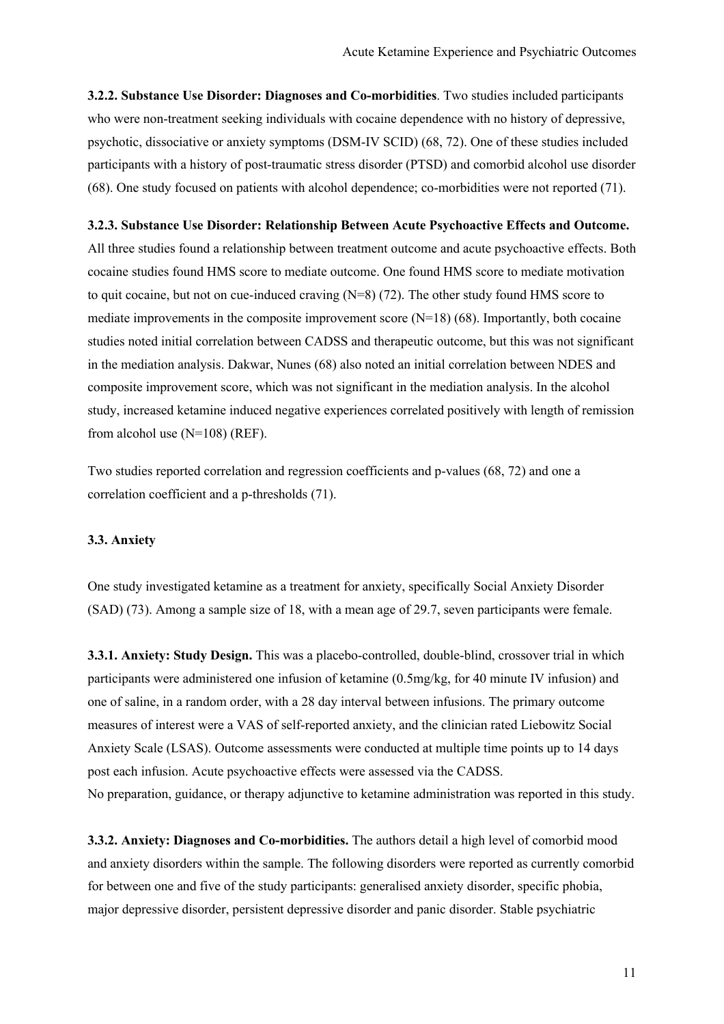**3.2.2. Substance Use Disorder: Diagnoses and Co-morbidities**. Two studies included participants who were non-treatment seeking individuals with cocaine dependence with no history of depressive, psychotic, dissociative or anxiety symptoms (DSM-IV SCID) (68, 72). One of these studies included participants with a history of post-traumatic stress disorder (PTSD) and comorbid alcohol use disorder (68). One study focused on patients with alcohol dependence; co-morbidities were not reported (71).

#### **3.2.3. Substance Use Disorder: Relationship Between Acute Psychoactive Effects and Outcome.**

All three studies found a relationship between treatment outcome and acute psychoactive effects. Both cocaine studies found HMS score to mediate outcome. One found HMS score to mediate motivation to quit cocaine, but not on cue-induced craving  $(N=8)$  (72). The other study found HMS score to mediate improvements in the composite improvement score (N=18) (68). Importantly, both cocaine studies noted initial correlation between CADSS and therapeutic outcome, but this was not significant in the mediation analysis. Dakwar, Nunes (68) also noted an initial correlation between NDES and composite improvement score, which was not significant in the mediation analysis. In the alcohol study, increased ketamine induced negative experiences correlated positively with length of remission from alcohol use (N=108) (REF).

Two studies reported correlation and regression coefficients and p-values (68, 72) and one a correlation coefficient and a p-thresholds (71).

# **3.3. Anxiety**

One study investigated ketamine as a treatment for anxiety, specifically Social Anxiety Disorder (SAD) (73). Among a sample size of 18, with a mean age of 29.7, seven participants were female.

**3.3.1. Anxiety: Study Design.** This was a placebo-controlled, double-blind, crossover trial in which participants were administered one infusion of ketamine (0.5mg/kg, for 40 minute IV infusion) and one of saline, in a random order, with a 28 day interval between infusions. The primary outcome measures of interest were a VAS of self-reported anxiety, and the clinician rated Liebowitz Social Anxiety Scale (LSAS). Outcome assessments were conducted at multiple time points up to 14 days post each infusion. Acute psychoactive effects were assessed via the CADSS. No preparation, guidance, or therapy adjunctive to ketamine administration was reported in this study.

**3.3.2. Anxiety: Diagnoses and Co-morbidities.** The authors detail a high level of comorbid mood and anxiety disorders within the sample. The following disorders were reported as currently comorbid for between one and five of the study participants: generalised anxiety disorder, specific phobia, major depressive disorder, persistent depressive disorder and panic disorder. Stable psychiatric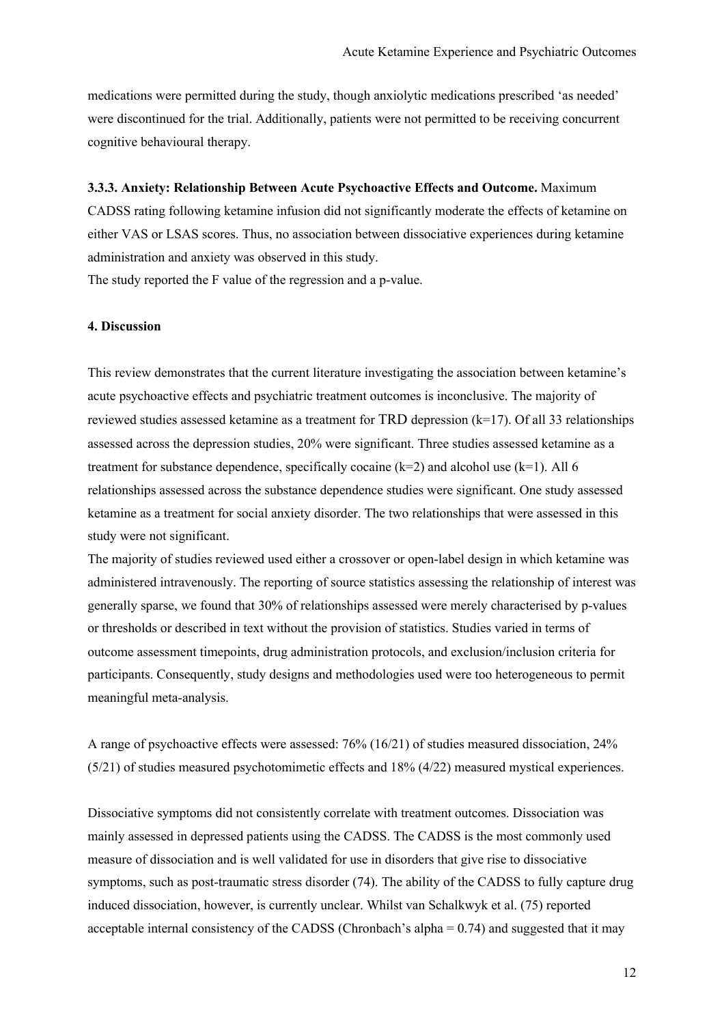medications were permitted during the study, though anxiolytic medications prescribed 'as needed' were discontinued for the trial. Additionally, patients were not permitted to be receiving concurrent cognitive behavioural therapy.

#### **3.3.3. Anxiety: Relationship Between Acute Psychoactive Effects and Outcome.** Maximum

CADSS rating following ketamine infusion did not significantly moderate the effects of ketamine on either VAS or LSAS scores. Thus, no association between dissociative experiences during ketamine administration and anxiety was observed in this study.

The study reported the F value of the regression and a p-value.

# **4. Discussion**

This review demonstrates that the current literature investigating the association between ketamine's acute psychoactive effects and psychiatric treatment outcomes is inconclusive. The majority of reviewed studies assessed ketamine as a treatment for TRD depression (k=17). Of all 33 relationships assessed across the depression studies, 20% were significant. Three studies assessed ketamine as a treatment for substance dependence, specifically cocaine  $(k=2)$  and alcohol use  $(k=1)$ . All 6 relationships assessed across the substance dependence studies were significant. One study assessed ketamine as a treatment for social anxiety disorder. The two relationships that were assessed in this study were not significant.

The majority of studies reviewed used either a crossover or open-label design in which ketamine was administered intravenously. The reporting of source statistics assessing the relationship of interest was generally sparse, we found that 30% of relationships assessed were merely characterised by p-values or thresholds or described in text without the provision of statistics. Studies varied in terms of outcome assessment timepoints, drug administration protocols, and exclusion/inclusion criteria for participants. Consequently, study designs and methodologies used were too heterogeneous to permit meaningful meta-analysis.

A range of psychoactive effects were assessed: 76% (16/21) of studies measured dissociation, 24% (5/21) of studies measured psychotomimetic effects and 18% (4/22) measured mystical experiences.

Dissociative symptoms did not consistently correlate with treatment outcomes. Dissociation was mainly assessed in depressed patients using the CADSS. The CADSS is the most commonly used measure of dissociation and is well validated for use in disorders that give rise to dissociative symptoms, such as post-traumatic stress disorder (74). The ability of the CADSS to fully capture drug induced dissociation, however, is currently unclear. Whilst van Schalkwyk et al. (75) reported acceptable internal consistency of the CADSS (Chronbach's alpha  $= 0.74$ ) and suggested that it may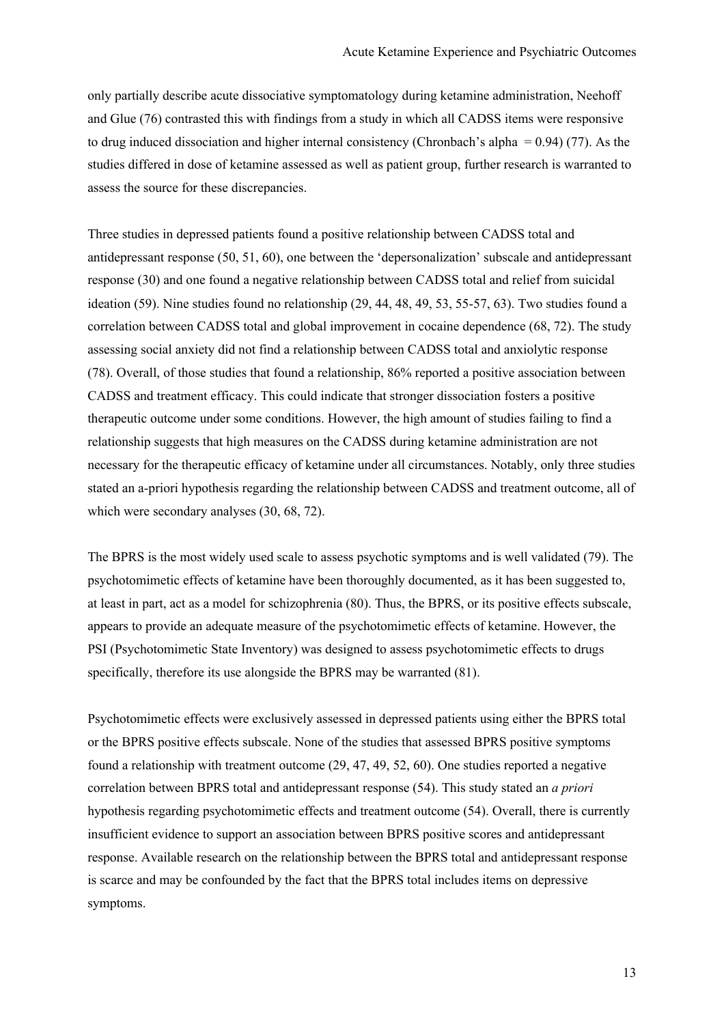only partially describe acute dissociative symptomatology during ketamine administration, Neehoff and Glue (76) contrasted this with findings from a study in which all CADSS items were responsive to drug induced dissociation and higher internal consistency (Chronbach's alpha =  $0.94$ ) (77). As the studies differed in dose of ketamine assessed as well as patient group, further research is warranted to assess the source for these discrepancies.

Three studies in depressed patients found a positive relationship between CADSS total and antidepressant response (50, 51, 60), one between the 'depersonalization' subscale and antidepressant response (30) and one found a negative relationship between CADSS total and relief from suicidal ideation (59). Nine studies found no relationship (29, 44, 48, 49, 53, 55-57, 63). Two studies found a correlation between CADSS total and global improvement in cocaine dependence (68, 72). The study assessing social anxiety did not find a relationship between CADSS total and anxiolytic response (78). Overall, of those studies that found a relationship, 86% reported a positive association between CADSS and treatment efficacy. This could indicate that stronger dissociation fosters a positive therapeutic outcome under some conditions. However, the high amount of studies failing to find a relationship suggests that high measures on the CADSS during ketamine administration are not necessary for the therapeutic efficacy of ketamine under all circumstances. Notably, only three studies stated an a-priori hypothesis regarding the relationship between CADSS and treatment outcome, all of which were secondary analyses (30, 68, 72).

The BPRS is the most widely used scale to assess psychotic symptoms and is well validated (79). The psychotomimetic effects of ketamine have been thoroughly documented, as it has been suggested to, at least in part, act as a model for schizophrenia (80). Thus, the BPRS, or its positive effects subscale, appears to provide an adequate measure of the psychotomimetic effects of ketamine. However, the PSI (Psychotomimetic State Inventory) was designed to assess psychotomimetic effects to drugs specifically, therefore its use alongside the BPRS may be warranted (81).

Psychotomimetic effects were exclusively assessed in depressed patients using either the BPRS total or the BPRS positive effects subscale. None of the studies that assessed BPRS positive symptoms found a relationship with treatment outcome (29, 47, 49, 52, 60). One studies reported a negative correlation between BPRS total and antidepressant response (54). This study stated an *a priori* hypothesis regarding psychotomimetic effects and treatment outcome (54). Overall, there is currently insufficient evidence to support an association between BPRS positive scores and antidepressant response. Available research on the relationship between the BPRS total and antidepressant response is scarce and may be confounded by the fact that the BPRS total includes items on depressive symptoms.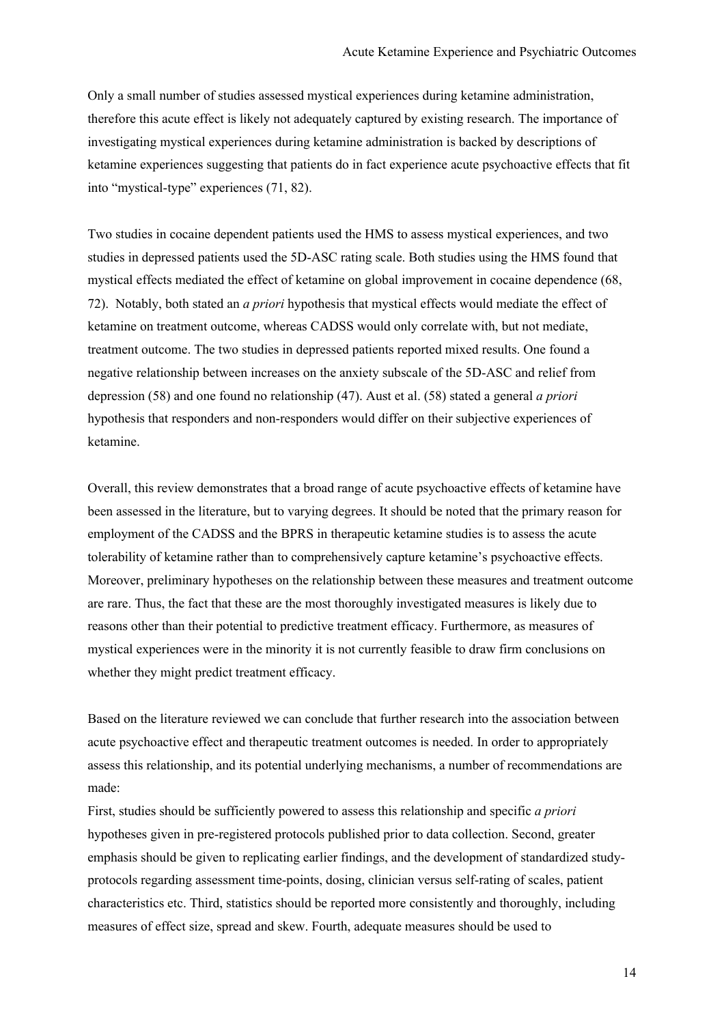Only a small number of studies assessed mystical experiences during ketamine administration, therefore this acute effect is likely not adequately captured by existing research. The importance of investigating mystical experiences during ketamine administration is backed by descriptions of ketamine experiences suggesting that patients do in fact experience acute psychoactive effects that fit into "mystical-type" experiences (71, 82).

Two studies in cocaine dependent patients used the HMS to assess mystical experiences, and two studies in depressed patients used the 5D-ASC rating scale. Both studies using the HMS found that mystical effects mediated the effect of ketamine on global improvement in cocaine dependence (68, 72). Notably, both stated an *a priori* hypothesis that mystical effects would mediate the effect of ketamine on treatment outcome, whereas CADSS would only correlate with, but not mediate, treatment outcome. The two studies in depressed patients reported mixed results. One found a negative relationship between increases on the anxiety subscale of the 5D-ASC and relief from depression (58) and one found no relationship (47). Aust et al. (58) stated a general *a priori* hypothesis that responders and non-responders would differ on their subjective experiences of ketamine.

Overall, this review demonstrates that a broad range of acute psychoactive effects of ketamine have been assessed in the literature, but to varying degrees. It should be noted that the primary reason for employment of the CADSS and the BPRS in therapeutic ketamine studies is to assess the acute tolerability of ketamine rather than to comprehensively capture ketamine's psychoactive effects. Moreover, preliminary hypotheses on the relationship between these measures and treatment outcome are rare. Thus, the fact that these are the most thoroughly investigated measures is likely due to reasons other than their potential to predictive treatment efficacy. Furthermore, as measures of mystical experiences were in the minority it is not currently feasible to draw firm conclusions on whether they might predict treatment efficacy.

Based on the literature reviewed we can conclude that further research into the association between acute psychoactive effect and therapeutic treatment outcomes is needed. In order to appropriately assess this relationship, and its potential underlying mechanisms, a number of recommendations are made:

First, studies should be sufficiently powered to assess this relationship and specific *a priori* hypotheses given in pre-registered protocols published prior to data collection. Second, greater emphasis should be given to replicating earlier findings, and the development of standardized studyprotocols regarding assessment time-points, dosing, clinician versus self-rating of scales, patient characteristics etc. Third, statistics should be reported more consistently and thoroughly, including measures of effect size, spread and skew. Fourth, adequate measures should be used to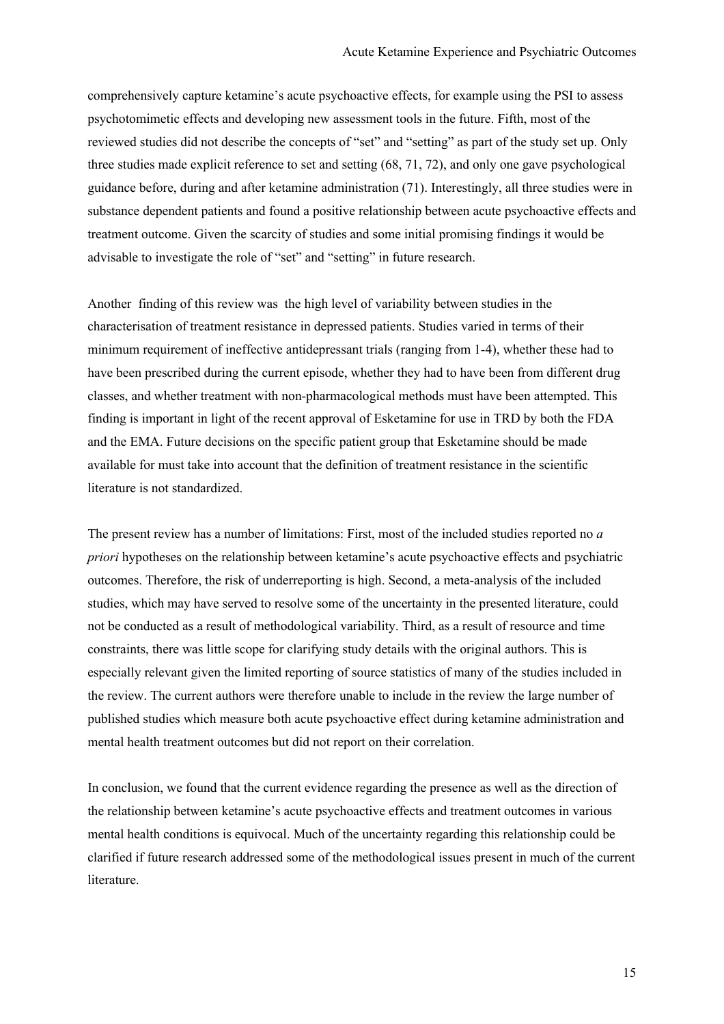comprehensively capture ketamine's acute psychoactive effects, for example using the PSI to assess psychotomimetic effects and developing new assessment tools in the future. Fifth, most of the reviewed studies did not describe the concepts of "set" and "setting" as part of the study set up. Only three studies made explicit reference to set and setting (68, 71, 72), and only one gave psychological guidance before, during and after ketamine administration (71). Interestingly, all three studies were in substance dependent patients and found a positive relationship between acute psychoactive effects and treatment outcome. Given the scarcity of studies and some initial promising findings it would be advisable to investigate the role of "set" and "setting" in future research.

Another finding of this review was the high level of variability between studies in the characterisation of treatment resistance in depressed patients. Studies varied in terms of their minimum requirement of ineffective antidepressant trials (ranging from 1-4), whether these had to have been prescribed during the current episode, whether they had to have been from different drug classes, and whether treatment with non-pharmacological methods must have been attempted. This finding is important in light of the recent approval of Esketamine for use in TRD by both the FDA and the EMA. Future decisions on the specific patient group that Esketamine should be made available for must take into account that the definition of treatment resistance in the scientific literature is not standardized.

The present review has a number of limitations: First, most of the included studies reported no *a priori* hypotheses on the relationship between ketamine's acute psychoactive effects and psychiatric outcomes. Therefore, the risk of underreporting is high. Second, a meta-analysis of the included studies, which may have served to resolve some of the uncertainty in the presented literature, could not be conducted as a result of methodological variability. Third, as a result of resource and time constraints, there was little scope for clarifying study details with the original authors. This is especially relevant given the limited reporting of source statistics of many of the studies included in the review. The current authors were therefore unable to include in the review the large number of published studies which measure both acute psychoactive effect during ketamine administration and mental health treatment outcomes but did not report on their correlation.

In conclusion, we found that the current evidence regarding the presence as well as the direction of the relationship between ketamine's acute psychoactive effects and treatment outcomes in various mental health conditions is equivocal. Much of the uncertainty regarding this relationship could be clarified if future research addressed some of the methodological issues present in much of the current literature.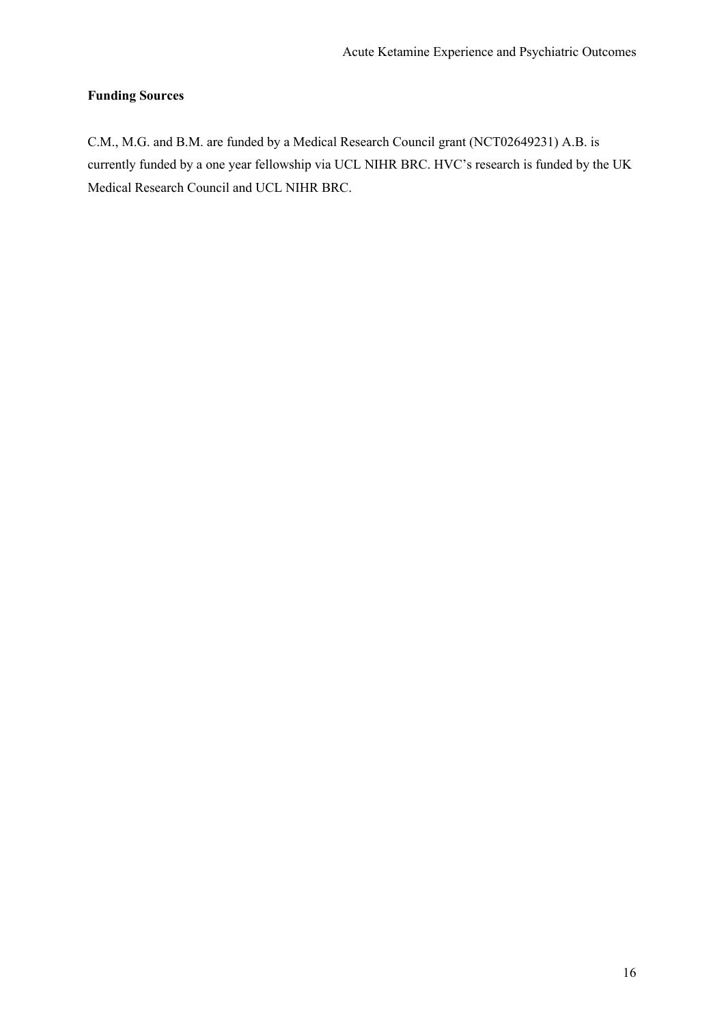# **Funding Sources**

C.M., M.G. and B.M. are funded by a Medical Research Council grant (NCT02649231) A.B. is currently funded by a one year fellowship via UCL NIHR BRC. HVC's research is funded by the UK Medical Research Council and UCL NIHR BRC.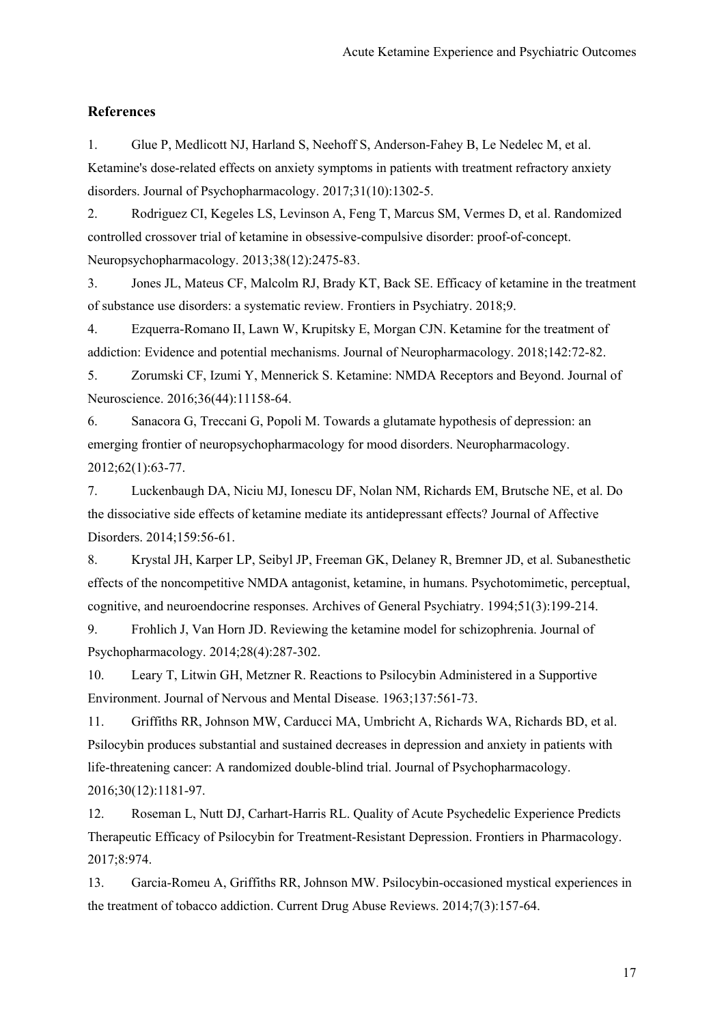# **References**

1. Glue P, Medlicott NJ, Harland S, Neehoff S, Anderson-Fahey B, Le Nedelec M, et al. Ketamine's dose-related effects on anxiety symptoms in patients with treatment refractory anxiety disorders. Journal of Psychopharmacology. 2017;31(10):1302-5.

2. Rodriguez CI, Kegeles LS, Levinson A, Feng T, Marcus SM, Vermes D, et al. Randomized controlled crossover trial of ketamine in obsessive-compulsive disorder: proof-of-concept. Neuropsychopharmacology. 2013;38(12):2475-83.

3. Jones JL, Mateus CF, Malcolm RJ, Brady KT, Back SE. Efficacy of ketamine in the treatment of substance use disorders: a systematic review. Frontiers in Psychiatry. 2018;9.

4. Ezquerra-Romano II, Lawn W, Krupitsky E, Morgan CJN. Ketamine for the treatment of addiction: Evidence and potential mechanisms. Journal of Neuropharmacology. 2018;142:72-82.

5. Zorumski CF, Izumi Y, Mennerick S. Ketamine: NMDA Receptors and Beyond. Journal of Neuroscience. 2016;36(44):11158-64.

6. Sanacora G, Treccani G, Popoli M. Towards a glutamate hypothesis of depression: an emerging frontier of neuropsychopharmacology for mood disorders. Neuropharmacology. 2012;62(1):63-77.

7. Luckenbaugh DA, Niciu MJ, Ionescu DF, Nolan NM, Richards EM, Brutsche NE, et al. Do the dissociative side effects of ketamine mediate its antidepressant effects? Journal of Affective Disorders. 2014;159:56-61.

8. Krystal JH, Karper LP, Seibyl JP, Freeman GK, Delaney R, Bremner JD, et al. Subanesthetic effects of the noncompetitive NMDA antagonist, ketamine, in humans. Psychotomimetic, perceptual, cognitive, and neuroendocrine responses. Archives of General Psychiatry. 1994;51(3):199-214.

9. Frohlich J, Van Horn JD. Reviewing the ketamine model for schizophrenia. Journal of Psychopharmacology. 2014;28(4):287-302.

10. Leary T, Litwin GH, Metzner R. Reactions to Psilocybin Administered in a Supportive Environment. Journal of Nervous and Mental Disease. 1963;137:561-73.

11. Griffiths RR, Johnson MW, Carducci MA, Umbricht A, Richards WA, Richards BD, et al. Psilocybin produces substantial and sustained decreases in depression and anxiety in patients with life-threatening cancer: A randomized double-blind trial. Journal of Psychopharmacology. 2016;30(12):1181-97.

12. Roseman L, Nutt DJ, Carhart-Harris RL. Quality of Acute Psychedelic Experience Predicts Therapeutic Efficacy of Psilocybin for Treatment-Resistant Depression. Frontiers in Pharmacology. 2017;8:974.

13. Garcia-Romeu A, Griffiths RR, Johnson MW. Psilocybin-occasioned mystical experiences in the treatment of tobacco addiction. Current Drug Abuse Reviews. 2014;7(3):157-64.

17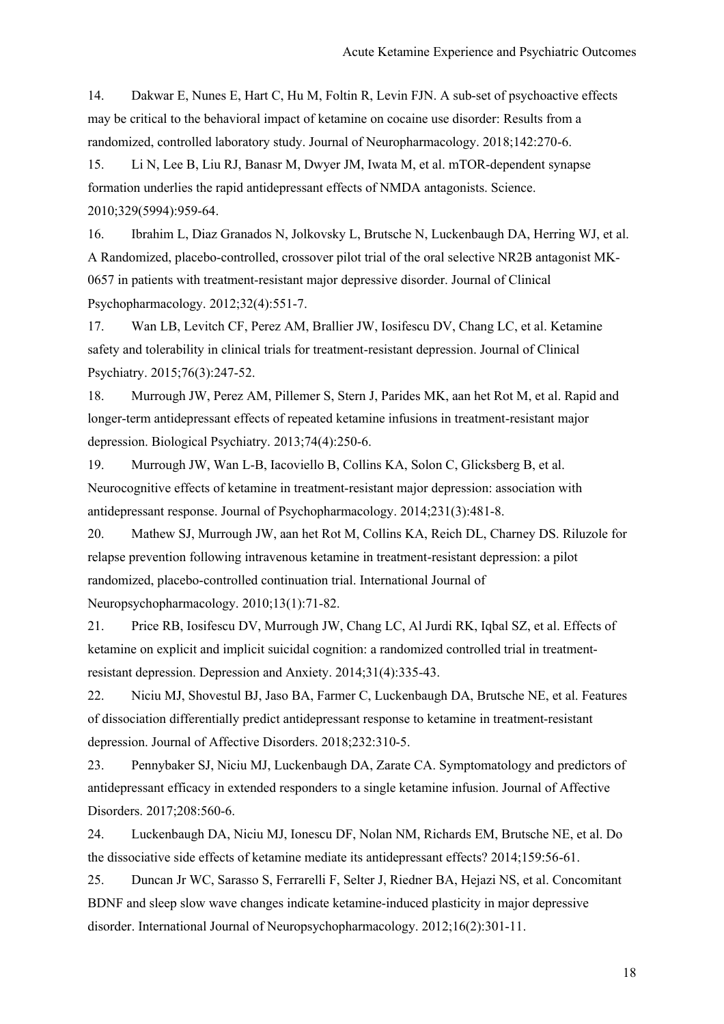14. Dakwar E, Nunes E, Hart C, Hu M, Foltin R, Levin FJN. A sub-set of psychoactive effects may be critical to the behavioral impact of ketamine on cocaine use disorder: Results from a randomized, controlled laboratory study. Journal of Neuropharmacology. 2018;142:270-6.

15. Li N, Lee B, Liu RJ, Banasr M, Dwyer JM, Iwata M, et al. mTOR-dependent synapse formation underlies the rapid antidepressant effects of NMDA antagonists. Science. 2010;329(5994):959-64.

16. Ibrahim L, Diaz Granados N, Jolkovsky L, Brutsche N, Luckenbaugh DA, Herring WJ, et al. A Randomized, placebo-controlled, crossover pilot trial of the oral selective NR2B antagonist MK-0657 in patients with treatment-resistant major depressive disorder. Journal of Clinical Psychopharmacology. 2012;32(4):551-7.

17. Wan LB, Levitch CF, Perez AM, Brallier JW, Iosifescu DV, Chang LC, et al. Ketamine safety and tolerability in clinical trials for treatment-resistant depression. Journal of Clinical Psychiatry. 2015;76(3):247-52.

18. Murrough JW, Perez AM, Pillemer S, Stern J, Parides MK, aan het Rot M, et al. Rapid and longer-term antidepressant effects of repeated ketamine infusions in treatment-resistant major depression. Biological Psychiatry. 2013;74(4):250-6.

19. Murrough JW, Wan L-B, Iacoviello B, Collins KA, Solon C, Glicksberg B, et al. Neurocognitive effects of ketamine in treatment-resistant major depression: association with antidepressant response. Journal of Psychopharmacology. 2014;231(3):481-8.

20. Mathew SJ, Murrough JW, aan het Rot M, Collins KA, Reich DL, Charney DS. Riluzole for relapse prevention following intravenous ketamine in treatment-resistant depression: a pilot randomized, placebo-controlled continuation trial. International Journal of Neuropsychopharmacology. 2010;13(1):71-82.

21. Price RB, Iosifescu DV, Murrough JW, Chang LC, Al Jurdi RK, Iqbal SZ, et al. Effects of ketamine on explicit and implicit suicidal cognition: a randomized controlled trial in treatmentresistant depression. Depression and Anxiety. 2014;31(4):335-43.

22. Niciu MJ, Shovestul BJ, Jaso BA, Farmer C, Luckenbaugh DA, Brutsche NE, et al. Features of dissociation differentially predict antidepressant response to ketamine in treatment-resistant depression. Journal of Affective Disorders. 2018;232:310-5.

23. Pennybaker SJ, Niciu MJ, Luckenbaugh DA, Zarate CA. Symptomatology and predictors of antidepressant efficacy in extended responders to a single ketamine infusion. Journal of Affective Disorders. 2017;208:560-6.

24. Luckenbaugh DA, Niciu MJ, Ionescu DF, Nolan NM, Richards EM, Brutsche NE, et al. Do the dissociative side effects of ketamine mediate its antidepressant effects? 2014;159:56-61.

25. Duncan Jr WC, Sarasso S, Ferrarelli F, Selter J, Riedner BA, Hejazi NS, et al. Concomitant BDNF and sleep slow wave changes indicate ketamine-induced plasticity in major depressive disorder. International Journal of Neuropsychopharmacology. 2012;16(2):301-11.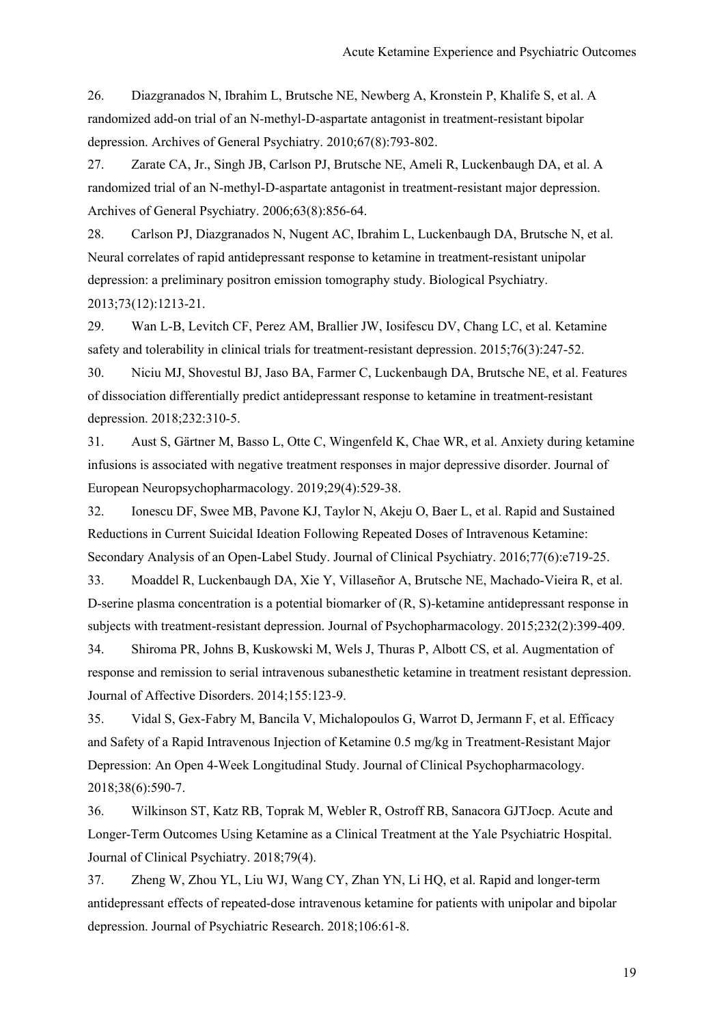26. Diazgranados N, Ibrahim L, Brutsche NE, Newberg A, Kronstein P, Khalife S, et al. A randomized add-on trial of an N-methyl-D-aspartate antagonist in treatment-resistant bipolar depression. Archives of General Psychiatry. 2010;67(8):793-802.

27. Zarate CA, Jr., Singh JB, Carlson PJ, Brutsche NE, Ameli R, Luckenbaugh DA, et al. A randomized trial of an N-methyl-D-aspartate antagonist in treatment-resistant major depression. Archives of General Psychiatry. 2006;63(8):856-64.

28. Carlson PJ, Diazgranados N, Nugent AC, Ibrahim L, Luckenbaugh DA, Brutsche N, et al. Neural correlates of rapid antidepressant response to ketamine in treatment-resistant unipolar depression: a preliminary positron emission tomography study. Biological Psychiatry. 2013;73(12):1213-21.

29. Wan L-B, Levitch CF, Perez AM, Brallier JW, Iosifescu DV, Chang LC, et al. Ketamine safety and tolerability in clinical trials for treatment-resistant depression. 2015;76(3):247-52.

30. Niciu MJ, Shovestul BJ, Jaso BA, Farmer C, Luckenbaugh DA, Brutsche NE, et al. Features of dissociation differentially predict antidepressant response to ketamine in treatment-resistant depression. 2018;232:310-5.

31. Aust S, Gärtner M, Basso L, Otte C, Wingenfeld K, Chae WR, et al. Anxiety during ketamine infusions is associated with negative treatment responses in major depressive disorder. Journal of European Neuropsychopharmacology. 2019;29(4):529-38.

32. Ionescu DF, Swee MB, Pavone KJ, Taylor N, Akeju O, Baer L, et al. Rapid and Sustained Reductions in Current Suicidal Ideation Following Repeated Doses of Intravenous Ketamine: Secondary Analysis of an Open-Label Study. Journal of Clinical Psychiatry. 2016;77(6):e719-25.

33. Moaddel R, Luckenbaugh DA, Xie Y, Villaseñor A, Brutsche NE, Machado-Vieira R, et al. D-serine plasma concentration is a potential biomarker of (R, S)-ketamine antidepressant response in subjects with treatment-resistant depression. Journal of Psychopharmacology. 2015;232(2):399-409.

34. Shiroma PR, Johns B, Kuskowski M, Wels J, Thuras P, Albott CS, et al. Augmentation of response and remission to serial intravenous subanesthetic ketamine in treatment resistant depression. Journal of Affective Disorders. 2014;155:123-9.

35. Vidal S, Gex-Fabry M, Bancila V, Michalopoulos G, Warrot D, Jermann F, et al. Efficacy and Safety of a Rapid Intravenous Injection of Ketamine 0.5 mg/kg in Treatment-Resistant Major Depression: An Open 4-Week Longitudinal Study. Journal of Clinical Psychopharmacology. 2018;38(6):590-7.

36. Wilkinson ST, Katz RB, Toprak M, Webler R, Ostroff RB, Sanacora GJTJocp. Acute and Longer-Term Outcomes Using Ketamine as a Clinical Treatment at the Yale Psychiatric Hospital. Journal of Clinical Psychiatry. 2018;79(4).

37. Zheng W, Zhou YL, Liu WJ, Wang CY, Zhan YN, Li HQ, et al. Rapid and longer-term antidepressant effects of repeated-dose intravenous ketamine for patients with unipolar and bipolar depression. Journal of Psychiatric Research. 2018;106:61-8.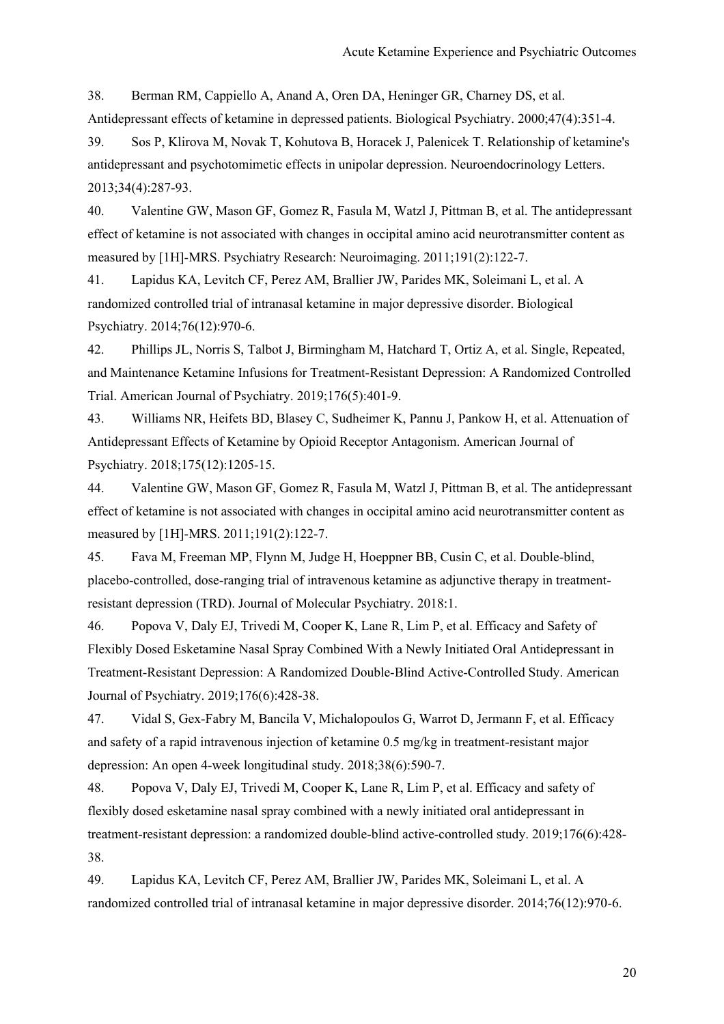38. Berman RM, Cappiello A, Anand A, Oren DA, Heninger GR, Charney DS, et al. Antidepressant effects of ketamine in depressed patients. Biological Psychiatry. 2000;47(4):351-4.

39. Sos P, Klirova M, Novak T, Kohutova B, Horacek J, Palenicek T. Relationship of ketamine's antidepressant and psychotomimetic effects in unipolar depression. Neuroendocrinology Letters. 2013;34(4):287-93.

40. Valentine GW, Mason GF, Gomez R, Fasula M, Watzl J, Pittman B, et al. The antidepressant effect of ketamine is not associated with changes in occipital amino acid neurotransmitter content as measured by [1H]-MRS. Psychiatry Research: Neuroimaging. 2011;191(2):122-7.

41. Lapidus KA, Levitch CF, Perez AM, Brallier JW, Parides MK, Soleimani L, et al. A randomized controlled trial of intranasal ketamine in major depressive disorder. Biological Psychiatry. 2014;76(12):970-6.

42. Phillips JL, Norris S, Talbot J, Birmingham M, Hatchard T, Ortiz A, et al. Single, Repeated, and Maintenance Ketamine Infusions for Treatment-Resistant Depression: A Randomized Controlled Trial. American Journal of Psychiatry. 2019;176(5):401-9.

43. Williams NR, Heifets BD, Blasey C, Sudheimer K, Pannu J, Pankow H, et al. Attenuation of Antidepressant Effects of Ketamine by Opioid Receptor Antagonism. American Journal of Psychiatry. 2018;175(12):1205-15.

44. Valentine GW, Mason GF, Gomez R, Fasula M, Watzl J, Pittman B, et al. The antidepressant effect of ketamine is not associated with changes in occipital amino acid neurotransmitter content as measured by [1H]-MRS. 2011;191(2):122-7.

45. Fava M, Freeman MP, Flynn M, Judge H, Hoeppner BB, Cusin C, et al. Double-blind, placebo-controlled, dose-ranging trial of intravenous ketamine as adjunctive therapy in treatmentresistant depression (TRD). Journal of Molecular Psychiatry. 2018:1.

46. Popova V, Daly EJ, Trivedi M, Cooper K, Lane R, Lim P, et al. Efficacy and Safety of Flexibly Dosed Esketamine Nasal Spray Combined With a Newly Initiated Oral Antidepressant in Treatment-Resistant Depression: A Randomized Double-Blind Active-Controlled Study. American Journal of Psychiatry. 2019;176(6):428-38.

47. Vidal S, Gex-Fabry M, Bancila V, Michalopoulos G, Warrot D, Jermann F, et al. Efficacy and safety of a rapid intravenous injection of ketamine 0.5 mg/kg in treatment-resistant major depression: An open 4-week longitudinal study. 2018;38(6):590-7.

48. Popova V, Daly EJ, Trivedi M, Cooper K, Lane R, Lim P, et al. Efficacy and safety of flexibly dosed esketamine nasal spray combined with a newly initiated oral antidepressant in treatment-resistant depression: a randomized double-blind active-controlled study. 2019;176(6):428- 38.

49. Lapidus KA, Levitch CF, Perez AM, Brallier JW, Parides MK, Soleimani L, et al. A randomized controlled trial of intranasal ketamine in major depressive disorder. 2014;76(12):970-6.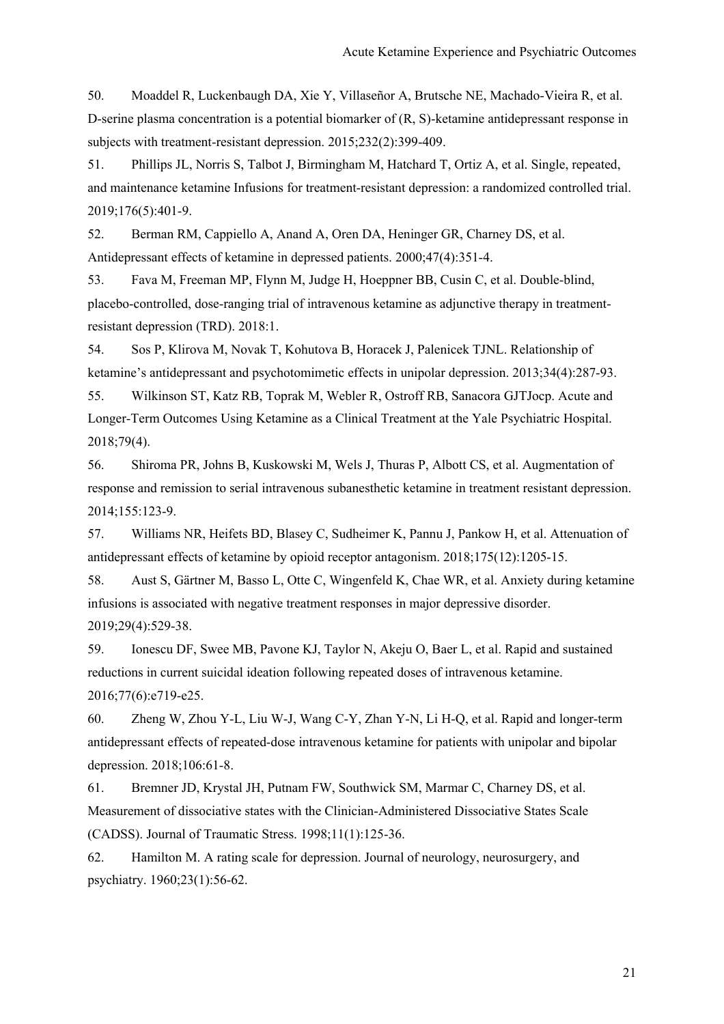50. Moaddel R, Luckenbaugh DA, Xie Y, Villaseñor A, Brutsche NE, Machado-Vieira R, et al. D-serine plasma concentration is a potential biomarker of (R, S)-ketamine antidepressant response in subjects with treatment-resistant depression. 2015;232(2):399-409.

51. Phillips JL, Norris S, Talbot J, Birmingham M, Hatchard T, Ortiz A, et al. Single, repeated, and maintenance ketamine Infusions for treatment-resistant depression: a randomized controlled trial. 2019;176(5):401-9.

52. Berman RM, Cappiello A, Anand A, Oren DA, Heninger GR, Charney DS, et al. Antidepressant effects of ketamine in depressed patients. 2000;47(4):351-4.

53. Fava M, Freeman MP, Flynn M, Judge H, Hoeppner BB, Cusin C, et al. Double-blind, placebo-controlled, dose-ranging trial of intravenous ketamine as adjunctive therapy in treatmentresistant depression (TRD). 2018:1.

54. Sos P, Klirova M, Novak T, Kohutova B, Horacek J, Palenicek TJNL. Relationship of ketamine's antidepressant and psychotomimetic effects in unipolar depression. 2013;34(4):287-93.

55. Wilkinson ST, Katz RB, Toprak M, Webler R, Ostroff RB, Sanacora GJTJocp. Acute and Longer-Term Outcomes Using Ketamine as a Clinical Treatment at the Yale Psychiatric Hospital. 2018;79(4).

56. Shiroma PR, Johns B, Kuskowski M, Wels J, Thuras P, Albott CS, et al. Augmentation of response and remission to serial intravenous subanesthetic ketamine in treatment resistant depression. 2014;155:123-9.

57. Williams NR, Heifets BD, Blasey C, Sudheimer K, Pannu J, Pankow H, et al. Attenuation of antidepressant effects of ketamine by opioid receptor antagonism. 2018;175(12):1205-15.

58. Aust S, Gärtner M, Basso L, Otte C, Wingenfeld K, Chae WR, et al. Anxiety during ketamine infusions is associated with negative treatment responses in major depressive disorder. 2019;29(4):529-38.

59. Ionescu DF, Swee MB, Pavone KJ, Taylor N, Akeju O, Baer L, et al. Rapid and sustained reductions in current suicidal ideation following repeated doses of intravenous ketamine. 2016;77(6):e719-e25.

60. Zheng W, Zhou Y-L, Liu W-J, Wang C-Y, Zhan Y-N, Li H-Q, et al. Rapid and longer-term antidepressant effects of repeated-dose intravenous ketamine for patients with unipolar and bipolar depression. 2018;106:61-8.

61. Bremner JD, Krystal JH, Putnam FW, Southwick SM, Marmar C, Charney DS, et al. Measurement of dissociative states with the Clinician-Administered Dissociative States Scale (CADSS). Journal of Traumatic Stress. 1998;11(1):125-36.

62. Hamilton M. A rating scale for depression. Journal of neurology, neurosurgery, and psychiatry. 1960;23(1):56-62.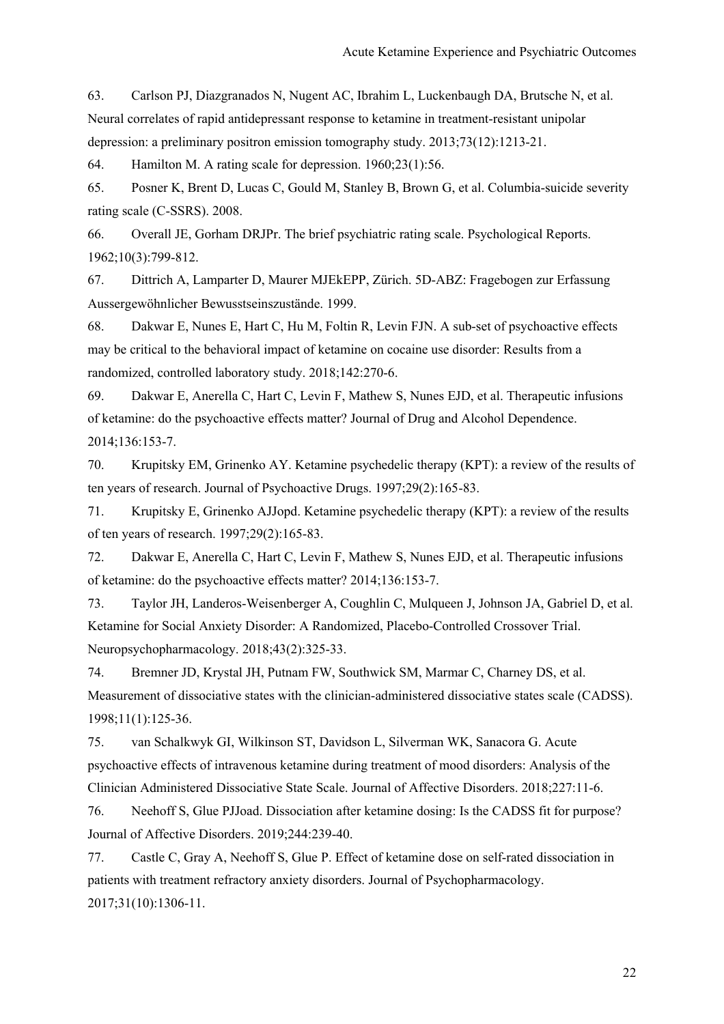63. Carlson PJ, Diazgranados N, Nugent AC, Ibrahim L, Luckenbaugh DA, Brutsche N, et al. Neural correlates of rapid antidepressant response to ketamine in treatment-resistant unipolar depression: a preliminary positron emission tomography study. 2013;73(12):1213-21.

64. Hamilton M. A rating scale for depression. 1960;23(1):56.

65. Posner K, Brent D, Lucas C, Gould M, Stanley B, Brown G, et al. Columbia-suicide severity rating scale (C-SSRS). 2008.

66. Overall JE, Gorham DRJPr. The brief psychiatric rating scale. Psychological Reports. 1962;10(3):799-812.

67. Dittrich A, Lamparter D, Maurer MJEkEPP, Zürich. 5D-ABZ: Fragebogen zur Erfassung Aussergewöhnlicher Bewusstseinszustände. 1999.

68. Dakwar E, Nunes E, Hart C, Hu M, Foltin R, Levin FJN. A sub-set of psychoactive effects may be critical to the behavioral impact of ketamine on cocaine use disorder: Results from a randomized, controlled laboratory study. 2018;142:270-6.

69. Dakwar E, Anerella C, Hart C, Levin F, Mathew S, Nunes EJD, et al. Therapeutic infusions of ketamine: do the psychoactive effects matter? Journal of Drug and Alcohol Dependence. 2014;136:153-7.

70. Krupitsky EM, Grinenko AY. Ketamine psychedelic therapy (KPT): a review of the results of ten years of research. Journal of Psychoactive Drugs. 1997;29(2):165-83.

71. Krupitsky E, Grinenko AJJopd. Ketamine psychedelic therapy (KPT): a review of the results of ten years of research. 1997;29(2):165-83.

72. Dakwar E, Anerella C, Hart C, Levin F, Mathew S, Nunes EJD, et al. Therapeutic infusions of ketamine: do the psychoactive effects matter? 2014;136:153-7.

73. Taylor JH, Landeros-Weisenberger A, Coughlin C, Mulqueen J, Johnson JA, Gabriel D, et al. Ketamine for Social Anxiety Disorder: A Randomized, Placebo-Controlled Crossover Trial. Neuropsychopharmacology. 2018;43(2):325-33.

74. Bremner JD, Krystal JH, Putnam FW, Southwick SM, Marmar C, Charney DS, et al. Measurement of dissociative states with the clinician-administered dissociative states scale (CADSS). 1998;11(1):125-36.

75. van Schalkwyk GI, Wilkinson ST, Davidson L, Silverman WK, Sanacora G. Acute psychoactive effects of intravenous ketamine during treatment of mood disorders: Analysis of the Clinician Administered Dissociative State Scale. Journal of Affective Disorders. 2018;227:11-6.

76. Neehoff S, Glue PJJoad. Dissociation after ketamine dosing: Is the CADSS fit for purpose? Journal of Affective Disorders. 2019;244:239-40.

77. Castle C, Gray A, Neehoff S, Glue P. Effect of ketamine dose on self-rated dissociation in patients with treatment refractory anxiety disorders. Journal of Psychopharmacology. 2017;31(10):1306-11.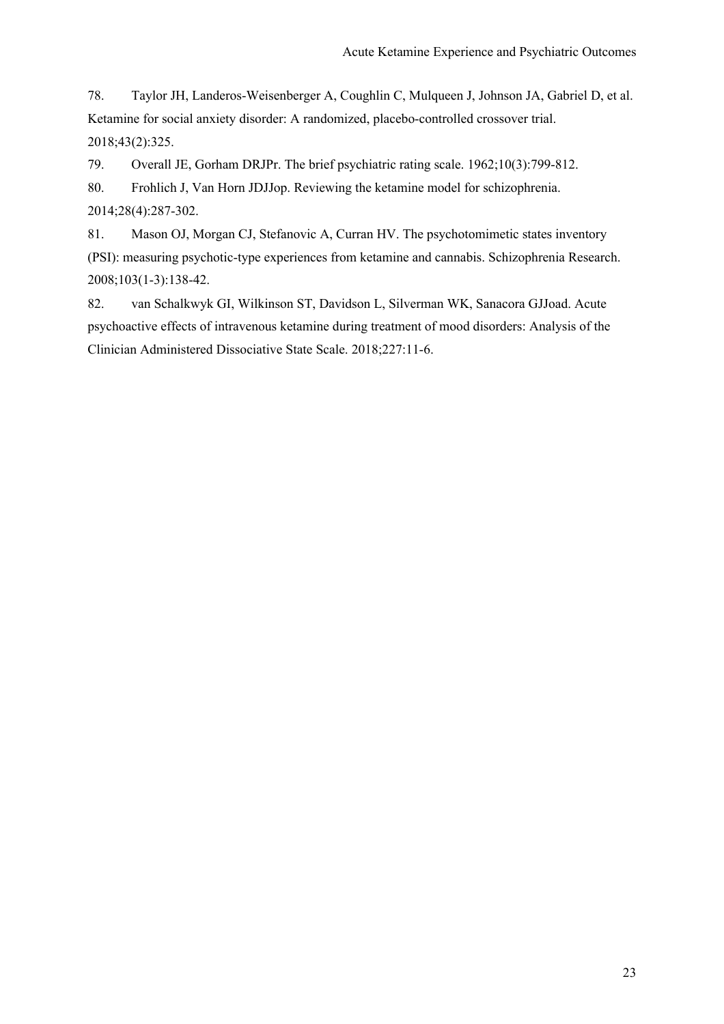78. Taylor JH, Landeros-Weisenberger A, Coughlin C, Mulqueen J, Johnson JA, Gabriel D, et al. Ketamine for social anxiety disorder: A randomized, placebo-controlled crossover trial. 2018;43(2):325.

79. Overall JE, Gorham DRJPr. The brief psychiatric rating scale. 1962;10(3):799-812.

80. Frohlich J, Van Horn JDJJop. Reviewing the ketamine model for schizophrenia.

2014;28(4):287-302.

81. Mason OJ, Morgan CJ, Stefanovic A, Curran HV. The psychotomimetic states inventory (PSI): measuring psychotic-type experiences from ketamine and cannabis. Schizophrenia Research. 2008;103(1-3):138-42.

82. van Schalkwyk GI, Wilkinson ST, Davidson L, Silverman WK, Sanacora GJJoad. Acute psychoactive effects of intravenous ketamine during treatment of mood disorders: Analysis of the Clinician Administered Dissociative State Scale. 2018;227:11-6.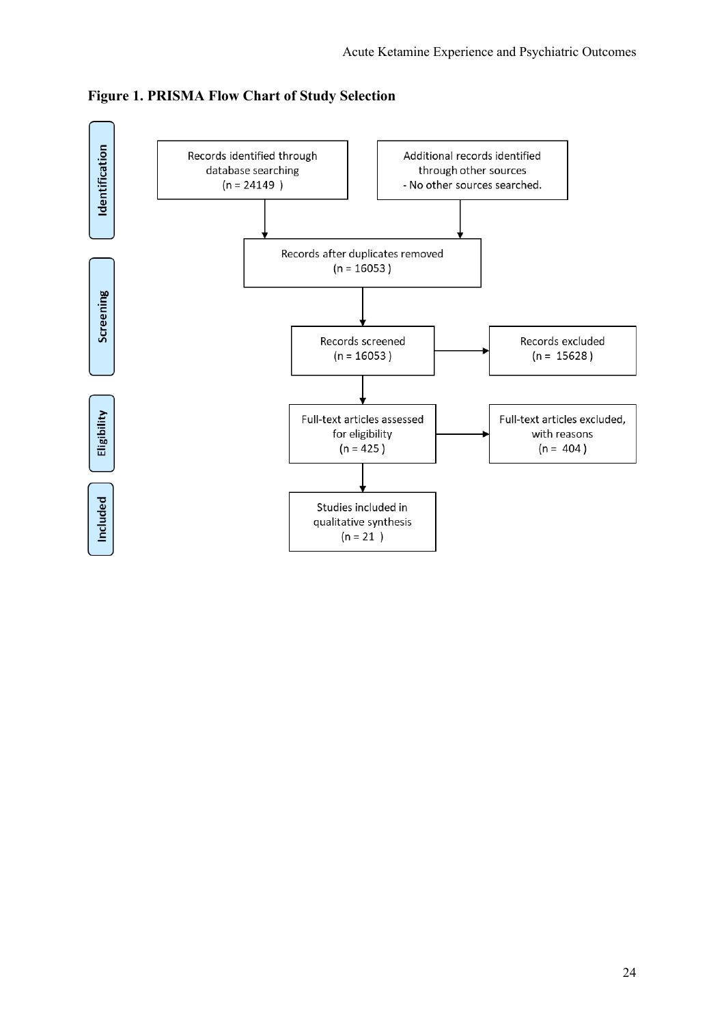

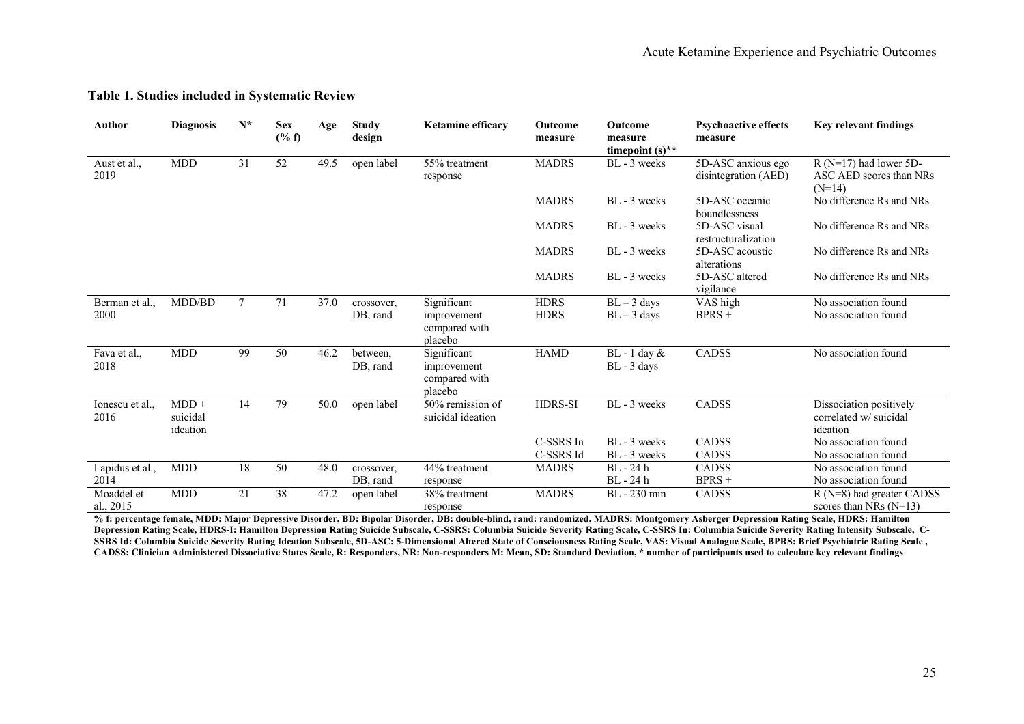| Author                  | <b>Diagnosis</b>                | $N^*$  | <b>Sex</b><br>(% f) | Age  | <b>Study</b><br>design | <b>Ketamine efficacy</b>                               | Outcome<br>measure | Outcome<br>measure<br>timepoint $(s)$ ** | <b>Psychoactive effects</b><br>measure     | <b>Key relevant findings</b>                                   |
|-------------------------|---------------------------------|--------|---------------------|------|------------------------|--------------------------------------------------------|--------------------|------------------------------------------|--------------------------------------------|----------------------------------------------------------------|
| Aust et al.,<br>2019    | <b>MDD</b>                      | 31     | 52                  | 49.5 | open label             | 55% treatment<br>response                              | <b>MADRS</b>       | BL - 3 weeks                             | 5D-ASC anxious ego<br>disintegration (AED) | $R(N=17)$ had lower 5D-<br>ASC AED scores than NRs<br>$(N=14)$ |
|                         |                                 |        |                     |      |                        |                                                        | <b>MADRS</b>       | BL - 3 weeks                             | 5D-ASC oceanic<br>boundlessness            | No difference Rs and NRs                                       |
|                         |                                 |        |                     |      |                        |                                                        | <b>MADRS</b>       | BL - 3 weeks                             | 5D-ASC visual<br>restructuralization       | No difference Rs and NRs                                       |
|                         |                                 |        |                     |      |                        |                                                        | <b>MADRS</b>       | BL - 3 weeks                             | 5D-ASC acoustic<br>alterations             | No difference Rs and NRs                                       |
|                         |                                 |        |                     |      |                        |                                                        | <b>MADRS</b>       | BL - 3 weeks                             | 5D-ASC altered<br>vigilance                | No difference Rs and NRs                                       |
| Berman et al.,          | MDD/BD                          | $\tau$ | 71                  | 37.0 | crossover,             | Significant                                            | <b>HDRS</b>        | $BL - 3$ days                            | VAS high                                   | No association found                                           |
| 2000                    |                                 |        |                     |      | DB, rand               | improvement<br>compared with<br>placebo                | <b>HDRS</b>        | $BL - 3$ days                            | $BPRS +$                                   | No association found                                           |
| Fava et al.,<br>2018    | <b>MDD</b>                      | 99     | 50                  | 46.2 | between,<br>DB, rand   | Significant<br>improvement<br>compared with<br>placebo | <b>HAMD</b>        | BL - 1 day &<br>$BL - 3$ days            | <b>CADSS</b>                               | No association found                                           |
| Ionescu et al.,<br>2016 | $MDD +$<br>suicidal<br>ideation | 14     | 79                  | 50.0 | open label             | 50% remission of<br>suicidal ideation                  | HDRS-SI            | BL - 3 weeks                             | <b>CADSS</b>                               | Dissociation positively<br>correlated w/ suicidal<br>ideation  |
|                         |                                 |        |                     |      |                        |                                                        | C-SSRS In          | BL - 3 weeks                             | <b>CADSS</b>                               | No association found                                           |
|                         |                                 |        |                     |      |                        |                                                        | C-SSRS Id          | BL - 3 weeks                             | <b>CADSS</b>                               | No association found                                           |
| Lapidus et al.,         | <b>MDD</b>                      | 18     | 50                  | 48.0 | crossover,             | 44% treatment                                          | <b>MADRS</b>       | BL-24h                                   | <b>CADSS</b>                               | No association found                                           |
| 2014                    |                                 |        |                     |      | DB, rand               | response                                               |                    | BL-24h                                   | $BPRS +$                                   | No association found                                           |
| Moaddel et<br>al., 2015 | <b>MDD</b>                      | 21     | 38                  | 47.2 | open label             | 38% treatment<br>response                              | <b>MADRS</b>       | BL - 230 min                             | <b>CADSS</b>                               | $R(N=8)$ had greater CADSS<br>scores than NRs $(N=13)$         |

## **Table 1. Studies included in Systematic Review**

**% f: percentage female, MDD: Major Depressive Disorder, BD: Bipolar Disorder, DB: double-blind, rand: randomized, MADRS: Montgomery Asberger Depression Rating Scale, HDRS: Hamilton Depression Rating Scale, HDRS-I: Hamilton Depression Rating Suicide Subscale, C-SSRS: Columbia Suicide Severity Rating Scale, C-SSRS In: Columbia Suicide Severity Rating Intensity Subscale, C-SSRS Id: Columbia Suicide Severity Rating Ideation Subscale, 5D-ASC: 5-Dimensional Altered State of Consciousness Rating Scale, VAS: Visual Analogue Scale, BPRS: Brief Psychiatric Rating Scale , CADSS: Clinician Administered Dissociative States Scale, R: Responders, NR: Non-responders M: Mean, SD: Standard Deviation, \* number of participants used to calculate key relevant findings**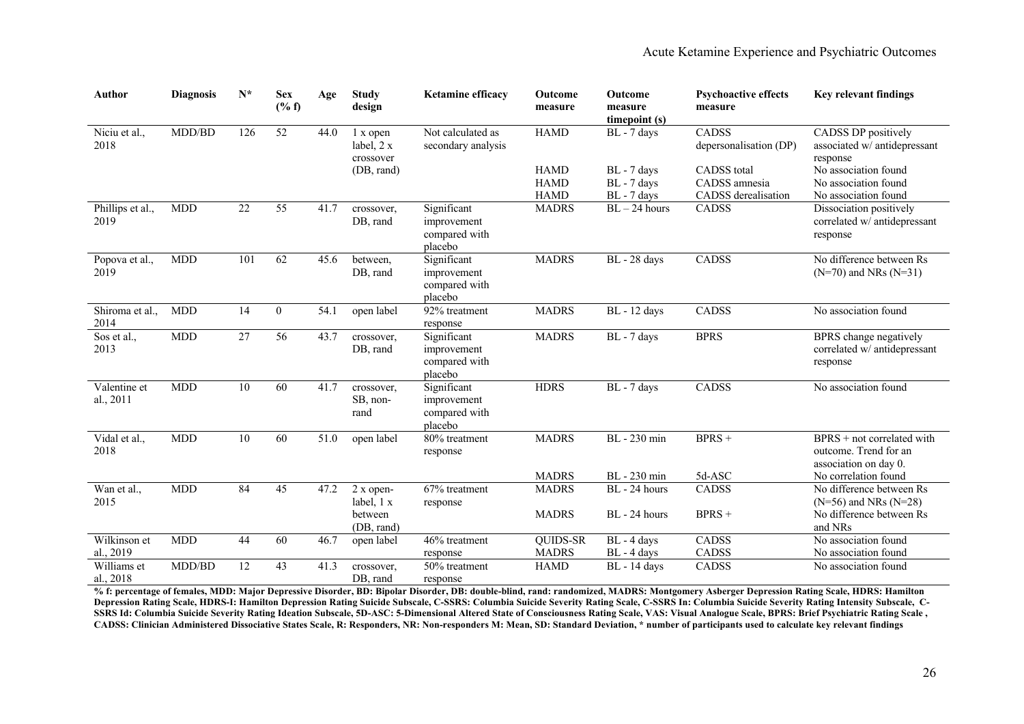| <b>Author</b>             | <b>Diagnosis</b> | $N^*$ | <b>Sex</b><br>$(\% f)$ | Age  | <b>Study</b><br>design                | Ketamine efficacy                                      | Outcome<br>measure                        | Outcome<br>measure<br>timepoint (s)         | <b>Psychoactive effects</b><br>measure                     | Key relevant findings                                                                     |
|---------------------------|------------------|-------|------------------------|------|---------------------------------------|--------------------------------------------------------|-------------------------------------------|---------------------------------------------|------------------------------------------------------------|-------------------------------------------------------------------------------------------|
| Niciu et al.,<br>2018     | MDD/BD           | 126   | $\overline{52}$        | 44.0 | 1 x open<br>label, $2 x$<br>crossover | Not calculated as<br>secondary analysis                | <b>HAMD</b>                               | BL - 7 days                                 | <b>CADSS</b><br>depersonalisation (DP)                     | CADSS DP positively<br>associated w/ antidepressant<br>response                           |
|                           |                  |       |                        |      | (DB, rand)                            |                                                        | <b>HAMD</b><br><b>HAMD</b><br><b>HAMD</b> | BL - 7 days<br>$BL - 7$ days<br>BL - 7 days | <b>CADSS</b> total<br>CADSS amnesia<br>CADSS derealisation | No association found<br>No association found<br>No association found                      |
| Phillips et al.,<br>2019  | <b>MDD</b>       | 22    | 55                     | 41.7 | crossover,<br>DB, rand                | Significant<br>improvement<br>compared with<br>placebo | <b>MADRS</b>                              | $BL - 24$ hours                             | <b>CADSS</b>                                               | Dissociation positively<br>correlated w/ antidepressant<br>response                       |
| Popova et al.,<br>2019    | <b>MDD</b>       | 101   | 62                     | 45.6 | between,<br>DB, rand                  | Significant<br>improvement<br>compared with<br>placebo | <b>MADRS</b>                              | BL - 28 days                                | <b>CADSS</b>                                               | No difference between Rs<br>$(N=70)$ and NRs $(N=31)$                                     |
| Shiroma et al<br>2014     | <b>MDD</b>       | 14    | $\theta$               | 54.1 | open label                            | 92% treatment<br>response                              | <b>MADRS</b>                              | <b>BL</b> - 12 days                         | <b>CADSS</b>                                               | No association found                                                                      |
| Sos et al.,<br>2013       | <b>MDD</b>       | 27    | 56                     | 43.7 | crossover,<br>DB, rand                | Significant<br>improvement<br>compared with<br>placebo | <b>MADRS</b>                              | BL - 7 days                                 | <b>BPRS</b>                                                | BPRS change negatively<br>correlated w/ antidepressant<br>response                        |
| Valentine et<br>al., 2011 | <b>MDD</b>       | 10    | 60                     | 41.7 | crossover,<br>SB, non-<br>rand        | Significant<br>improvement<br>compared with<br>placebo | <b>HDRS</b>                               | BL - 7 days                                 | <b>CADSS</b>                                               | No association found                                                                      |
| Vidal et al.,<br>2018     | <b>MDD</b>       | 10    | 60                     | 51.0 | open label                            | 80% treatment<br>response                              | <b>MADRS</b>                              | BL - 230 min                                | $BPRS +$                                                   | $\overline{BPRS}$ + not correlated with<br>outcome. Trend for an<br>association on day 0. |
|                           |                  |       |                        |      |                                       |                                                        | <b>MADRS</b>                              | BL - 230 min                                | 5d-ASC                                                     | No correlation found                                                                      |
| Wan et al.,<br>2015       | <b>MDD</b>       | 84    | $\overline{45}$        | 47.2 | 2 x open-<br>label, $1 x$<br>between  | 67% treatment<br>response                              | <b>MADRS</b><br><b>MADRS</b>              | BL - 24 hours<br>BL - 24 hours              | <b>CADSS</b><br>$BPRS +$                                   | No difference between Rs<br>$(N=56)$ and NRs $(N=28)$<br>No difference between Rs         |
|                           |                  |       |                        |      | (DB, rand)                            |                                                        |                                           |                                             |                                                            | and NRs                                                                                   |
| Wilkinson et<br>al., 2019 | <b>MDD</b>       | 44    | 60                     | 46.7 | open label                            | $\overline{46\%}$ treatment<br>response                | QUIDS-SR<br><b>MADRS</b>                  | BL - 4 days<br>BL - 4 days                  | <b>CADSS</b><br><b>CADSS</b>                               | No association found<br>No association found                                              |
| Williams et               | MDD/BD           | 12    | 43                     | 41.3 | crossover,                            | 50% treatment                                          | <b>HAMD</b>                               | <b>BL</b> - 14 days                         | <b>CADSS</b>                                               | No association found                                                                      |
| al., 2018                 |                  |       |                        |      | DB, rand                              | response                                               |                                           |                                             |                                                            |                                                                                           |

**% f: percentage of females, MDD: Major Depressive Disorder, BD: Bipolar Disorder, DB: double-blind, rand: randomized, MADRS: Montgomery Asberger Depression Rating Scale, HDRS: Hamilton Depression Rating Scale, HDRS-I: Hamilton Depression Rating Suicide Subscale, C-SSRS: Columbia Suicide Severity Rating Scale, C-SSRS In: Columbia Suicide Severity Rating Intensity Subscale, C-SSRS Id: Columbia Suicide Severity Rating Ideation Subscale, 5D-ASC: 5-Dimensional Altered State of Consciousness Rating Scale, VAS: Visual Analogue Scale, BPRS: Brief Psychiatric Rating Scale , CADSS: Clinician Administered Dissociative States Scale, R: Responders, NR: Non-responders M: Mean, SD: Standard Deviation, \* number of participants used to calculate key relevant findings**